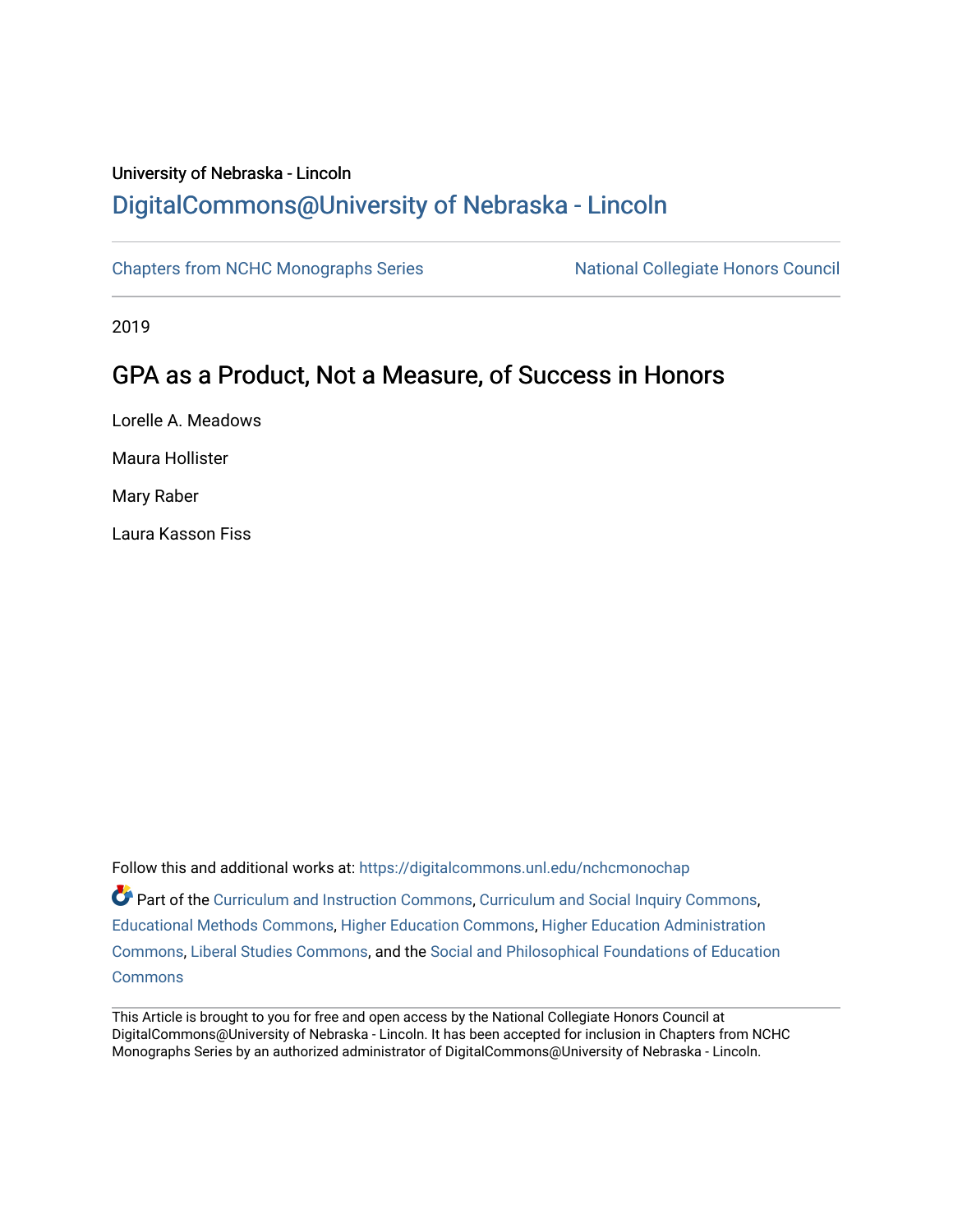# University of Nebraska - Lincoln [DigitalCommons@University of Nebraska - Lincoln](https://digitalcommons.unl.edu/)

[Chapters from NCHC Monographs Series](https://digitalcommons.unl.edu/nchcmonochap) National Collegiate Honors Council

2019

# GPA as a Product, Not a Measure, of Success in Honors

Lorelle A. Meadows Maura Hollister Mary Raber Laura Kasson Fiss

Follow this and additional works at: [https://digitalcommons.unl.edu/nchcmonochap](https://digitalcommons.unl.edu/nchcmonochap?utm_source=digitalcommons.unl.edu%2Fnchcmonochap%2F52&utm_medium=PDF&utm_campaign=PDFCoverPages)   $\bullet$  Part of the [Curriculum and Instruction Commons,](http://network.bepress.com/hgg/discipline/786?utm_source=digitalcommons.unl.edu%2Fnchcmonochap%2F52&utm_medium=PDF&utm_campaign=PDFCoverPages) [Curriculum and Social Inquiry Commons,](http://network.bepress.com/hgg/discipline/1038?utm_source=digitalcommons.unl.edu%2Fnchcmonochap%2F52&utm_medium=PDF&utm_campaign=PDFCoverPages) [Educational Methods Commons,](http://network.bepress.com/hgg/discipline/1227?utm_source=digitalcommons.unl.edu%2Fnchcmonochap%2F52&utm_medium=PDF&utm_campaign=PDFCoverPages) [Higher Education Commons,](http://network.bepress.com/hgg/discipline/1245?utm_source=digitalcommons.unl.edu%2Fnchcmonochap%2F52&utm_medium=PDF&utm_campaign=PDFCoverPages) [Higher Education Administration](http://network.bepress.com/hgg/discipline/791?utm_source=digitalcommons.unl.edu%2Fnchcmonochap%2F52&utm_medium=PDF&utm_campaign=PDFCoverPages) [Commons](http://network.bepress.com/hgg/discipline/791?utm_source=digitalcommons.unl.edu%2Fnchcmonochap%2F52&utm_medium=PDF&utm_campaign=PDFCoverPages), [Liberal Studies Commons,](http://network.bepress.com/hgg/discipline/1042?utm_source=digitalcommons.unl.edu%2Fnchcmonochap%2F52&utm_medium=PDF&utm_campaign=PDFCoverPages) and the [Social and Philosophical Foundations of Education](http://network.bepress.com/hgg/discipline/799?utm_source=digitalcommons.unl.edu%2Fnchcmonochap%2F52&utm_medium=PDF&utm_campaign=PDFCoverPages)  **[Commons](http://network.bepress.com/hgg/discipline/799?utm_source=digitalcommons.unl.edu%2Fnchcmonochap%2F52&utm_medium=PDF&utm_campaign=PDFCoverPages)** 

This Article is brought to you for free and open access by the National Collegiate Honors Council at DigitalCommons@University of Nebraska - Lincoln. It has been accepted for inclusion in Chapters from NCHC Monographs Series by an authorized administrator of DigitalCommons@University of Nebraska - Lincoln.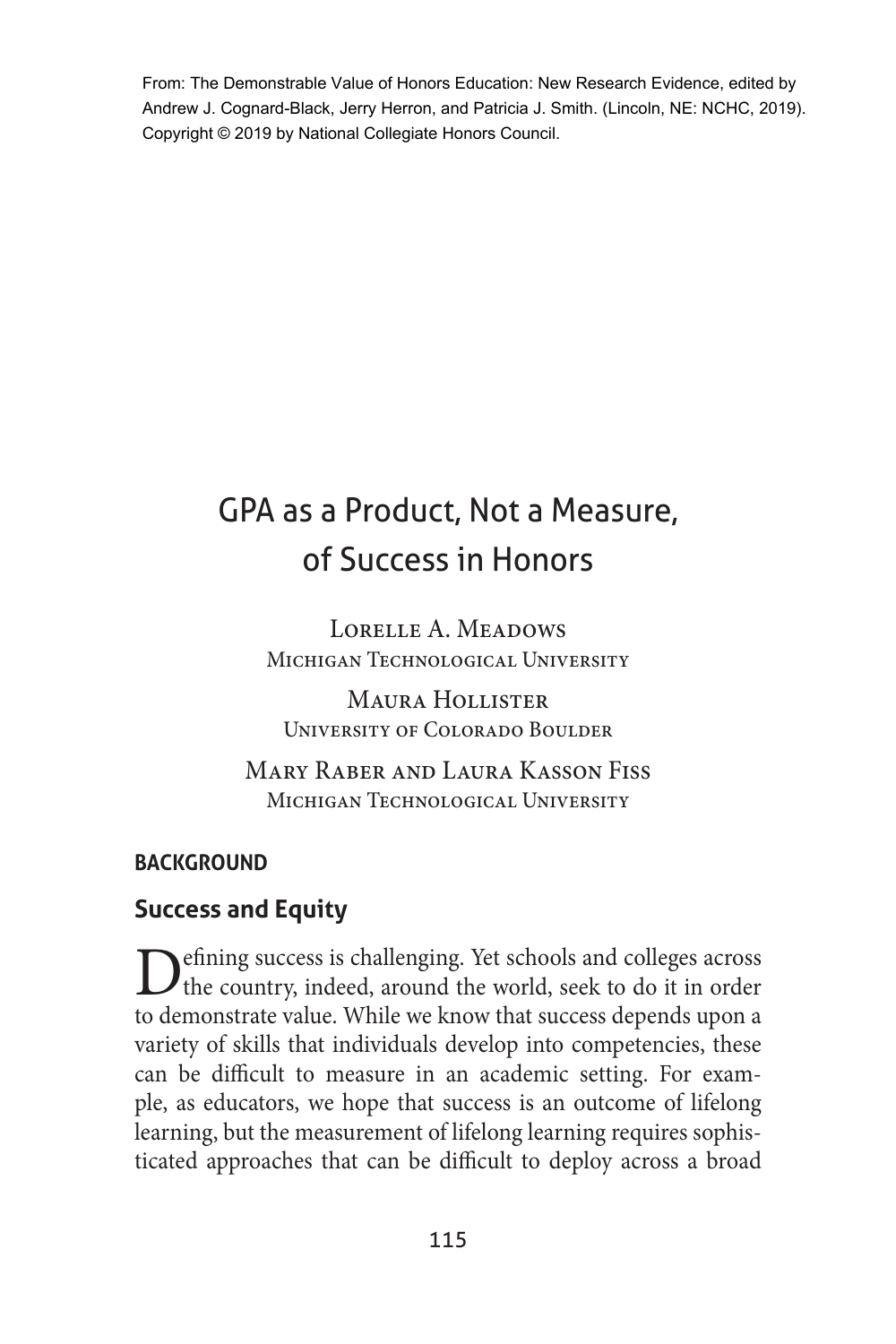From: The Demonstrable Value of Honors Education: New Research Evidence, edited by Andrew J. Cognard-Black, Jerry Herron, and Patricia J. Smith. (Lincoln, NE: NCHC, 2019). Copyright © 2019 by National Collegiate Honors Council.

# GPA as a Product, Not a Measure, of Success in Honors

LORELLE A. MEADOWS MICHIGAN TECHNOLOGICAL UNIVERSITY

Maura Hollister University of Colorado Boulder

Mary Raber and Laura Kasson Fiss MICHIGAN TECHNOLOGICAL UNIVERSITY

# **BACKGROUND**

# **Success and Equity**

**D**efining success is challenging. Yet schools and colleges across the country, indeed, around the world, seek to do it in order to demonstrate value. While we know that success depends upon a variety of skills that individuals develop into competencies, these can be difficult to measure in an academic setting. For example, as educators, we hope that success is an outcome of lifelong learning, but the measurement of lifelong learning requires sophisticated approaches that can be difficult to deploy across a broad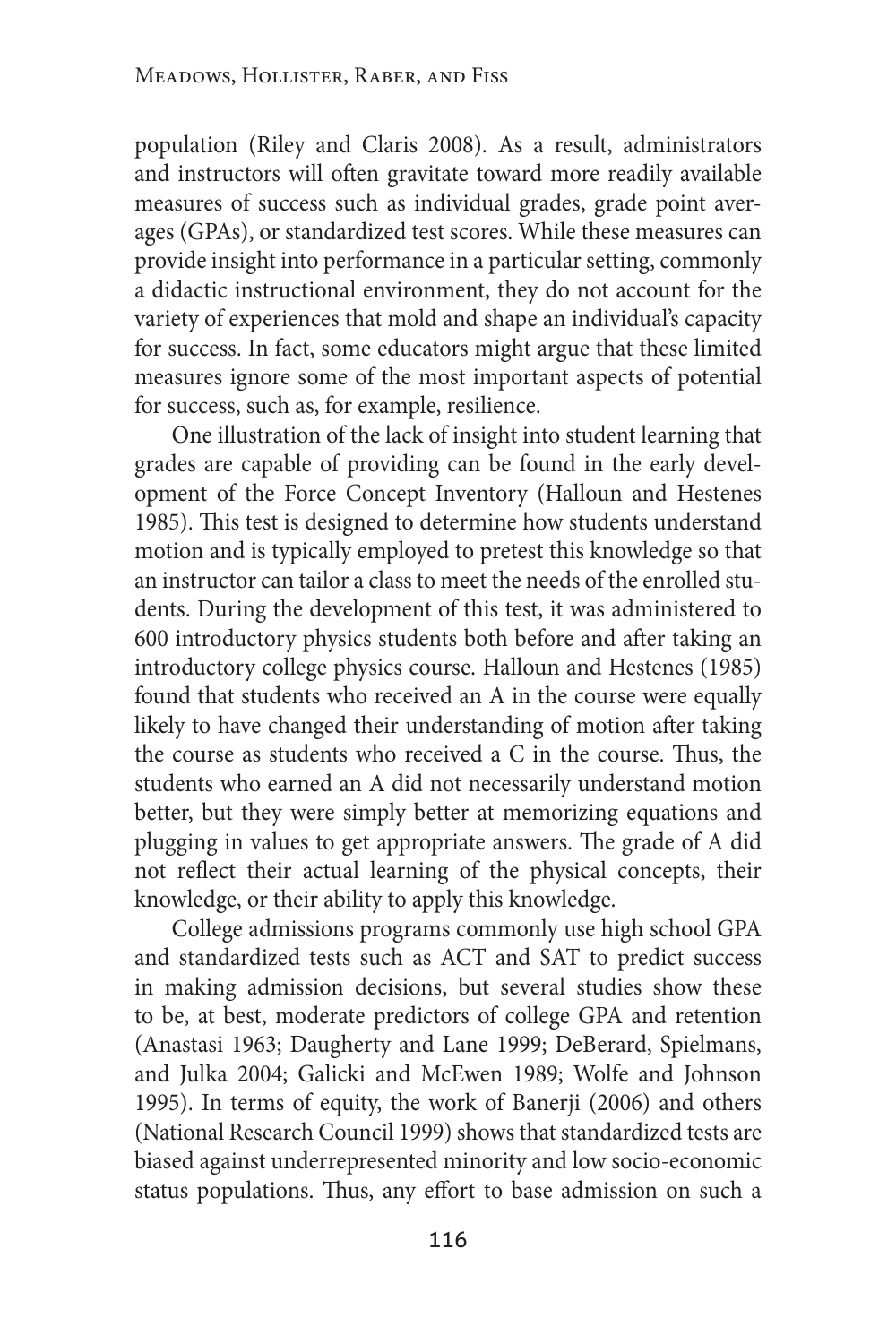population (Riley and Claris 2008). As a result, administrators and instructors will often gravitate toward more readily available measures of success such as individual grades, grade point averages (GPAs), or standardized test scores. While these measures can provide insight into performance in a particular setting, commonly a didactic instructional environment, they do not account for the variety of experiences that mold and shape an individual's capacity for success. In fact, some educators might argue that these limited measures ignore some of the most important aspects of potential for success, such as, for example, resilience.

One illustration of the lack of insight into student learning that grades are capable of providing can be found in the early development of the Force Concept Inventory (Halloun and Hestenes 1985). This test is designed to determine how students understand motion and is typically employed to pretest this knowledge so that an instructor can tailor a class to meet the needs of the enrolled students. During the development of this test, it was administered to 600 introductory physics students both before and after taking an introductory college physics course. Halloun and Hestenes (1985) found that students who received an A in the course were equally likely to have changed their understanding of motion after taking the course as students who received a C in the course. Thus, the students who earned an A did not necessarily understand motion better, but they were simply better at memorizing equations and plugging in values to get appropriate answers. The grade of A did not reflect their actual learning of the physical concepts, their knowledge, or their ability to apply this knowledge.

College admissions programs commonly use high school GPA and standardized tests such as ACT and SAT to predict success in making admission decisions, but several studies show these to be, at best, moderate predictors of college GPA and retention (Anastasi 1963; Daugherty and Lane 1999; DeBerard, Spielmans, and Julka 2004; Galicki and McEwen 1989; Wolfe and Johnson 1995). In terms of equity, the work of Banerji (2006) and others (National Research Council 1999) shows that standardized tests are biased against underrepresented minority and low socio-economic status populations. Thus, any effort to base admission on such a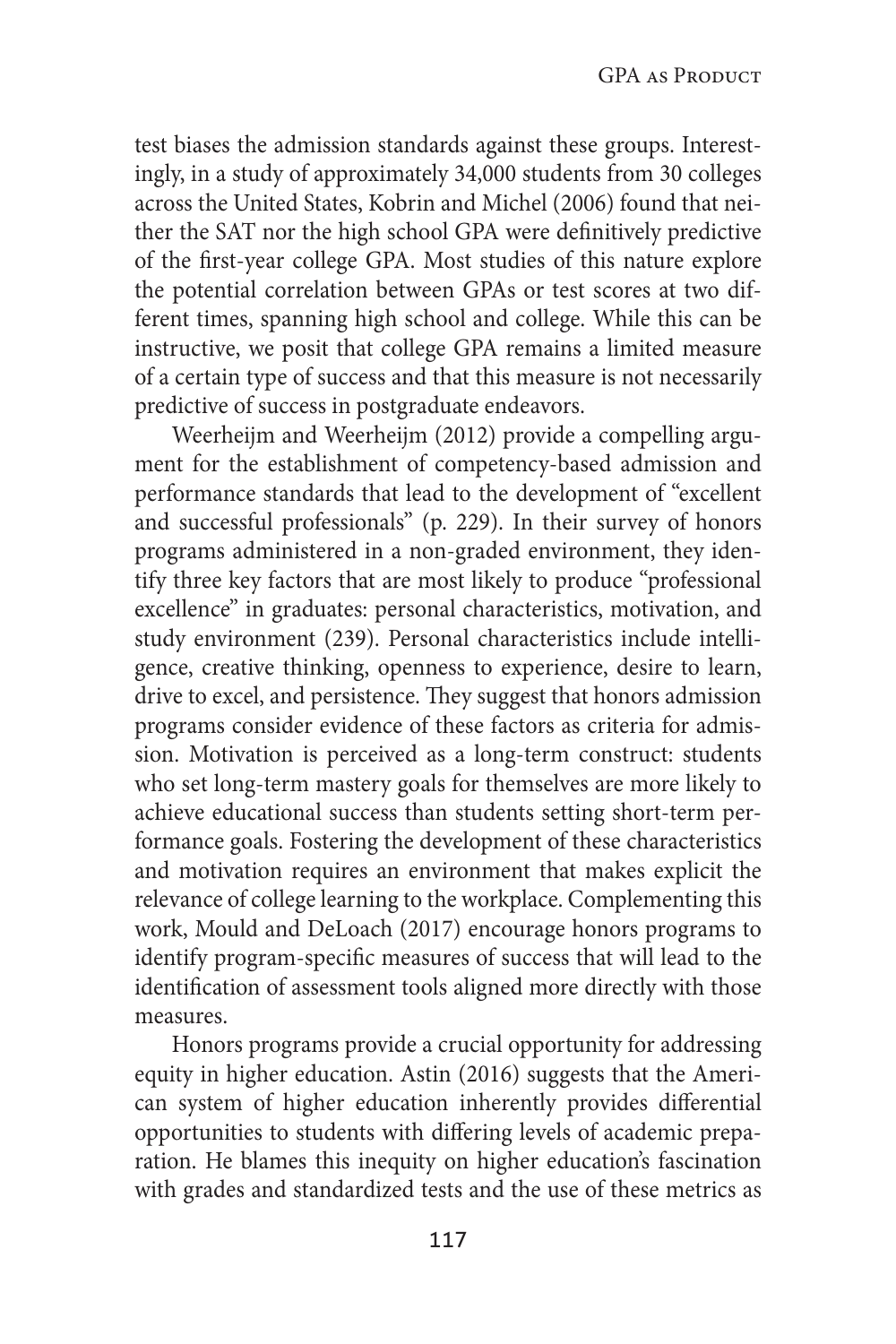test biases the admission standards against these groups. Interestingly, in a study of approximately 34,000 students from 30 colleges across the United States, Kobrin and Michel (2006) found that neither the SAT nor the high school GPA were definitively predictive of the first-year college GPA. Most studies of this nature explore the potential correlation between GPAs or test scores at two different times, spanning high school and college. While this can be instructive, we posit that college GPA remains a limited measure of a certain type of success and that this measure is not necessarily predictive of success in postgraduate endeavors.

Weerheijm and Weerheijm (2012) provide a compelling argument for the establishment of competency-based admission and performance standards that lead to the development of "excellent and successful professionals" (p. 229). In their survey of honors programs administered in a non-graded environment, they identify three key factors that are most likely to produce "professional excellence" in graduates: personal characteristics, motivation, and study environment (239). Personal characteristics include intelligence, creative thinking, openness to experience, desire to learn, drive to excel, and persistence. They suggest that honors admission programs consider evidence of these factors as criteria for admission. Motivation is perceived as a long-term construct: students who set long-term mastery goals for themselves are more likely to achieve educational success than students setting short-term performance goals. Fostering the development of these characteristics and motivation requires an environment that makes explicit the relevance of college learning to the workplace. Complementing this work, Mould and DeLoach (2017) encourage honors programs to identify program-specific measures of success that will lead to the identification of assessment tools aligned more directly with those measures.

Honors programs provide a crucial opportunity for addressing equity in higher education. Astin (2016) suggests that the American system of higher education inherently provides differential opportunities to students with differing levels of academic preparation. He blames this inequity on higher education's fascination with grades and standardized tests and the use of these metrics as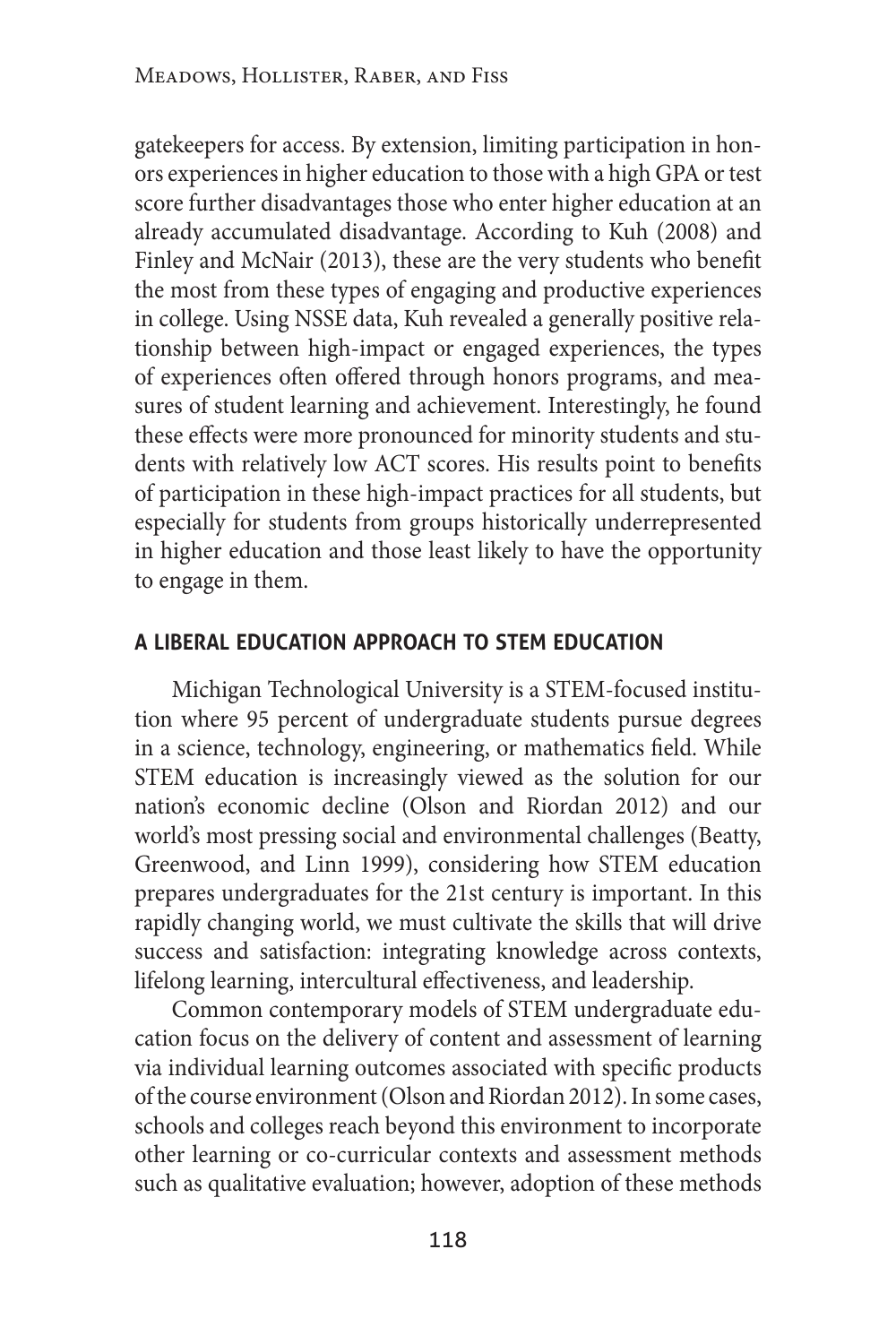gatekeepers for access. By extension, limiting participation in honors experiences in higher education to those with a high GPA or test score further disadvantages those who enter higher education at an already accumulated disadvantage. According to Kuh (2008) and Finley and McNair (2013), these are the very students who benefit the most from these types of engaging and productive experiences in college. Using NSSE data, Kuh revealed a generally positive relationship between high-impact or engaged experiences, the types of experiences often offered through honors programs, and measures of student learning and achievement. Interestingly, he found these effects were more pronounced for minority students and students with relatively low ACT scores. His results point to benefits of participation in these high-impact practices for all students, but especially for students from groups historically underrepresented in higher education and those least likely to have the opportunity to engage in them.

#### **a liberal education approach to stem education**

Michigan Technological University is a STEM-focused institution where 95 percent of undergraduate students pursue degrees in a science, technology, engineering, or mathematics field. While STEM education is increasingly viewed as the solution for our nation's economic decline (Olson and Riordan 2012) and our world's most pressing social and environmental challenges (Beatty, Greenwood, and Linn 1999), considering how STEM education prepares undergraduates for the 21st century is important. In this rapidly changing world, we must cultivate the skills that will drive success and satisfaction: integrating knowledge across contexts, lifelong learning, intercultural effectiveness, and leadership.

Common contemporary models of STEM undergraduate education focus on the delivery of content and assessment of learning via individual learning outcomes associated with specific products of the course environment (Olson and Riordan 2012). In some cases, schools and colleges reach beyond this environment to incorporate other learning or co-curricular contexts and assessment methods such as qualitative evaluation; however, adoption of these methods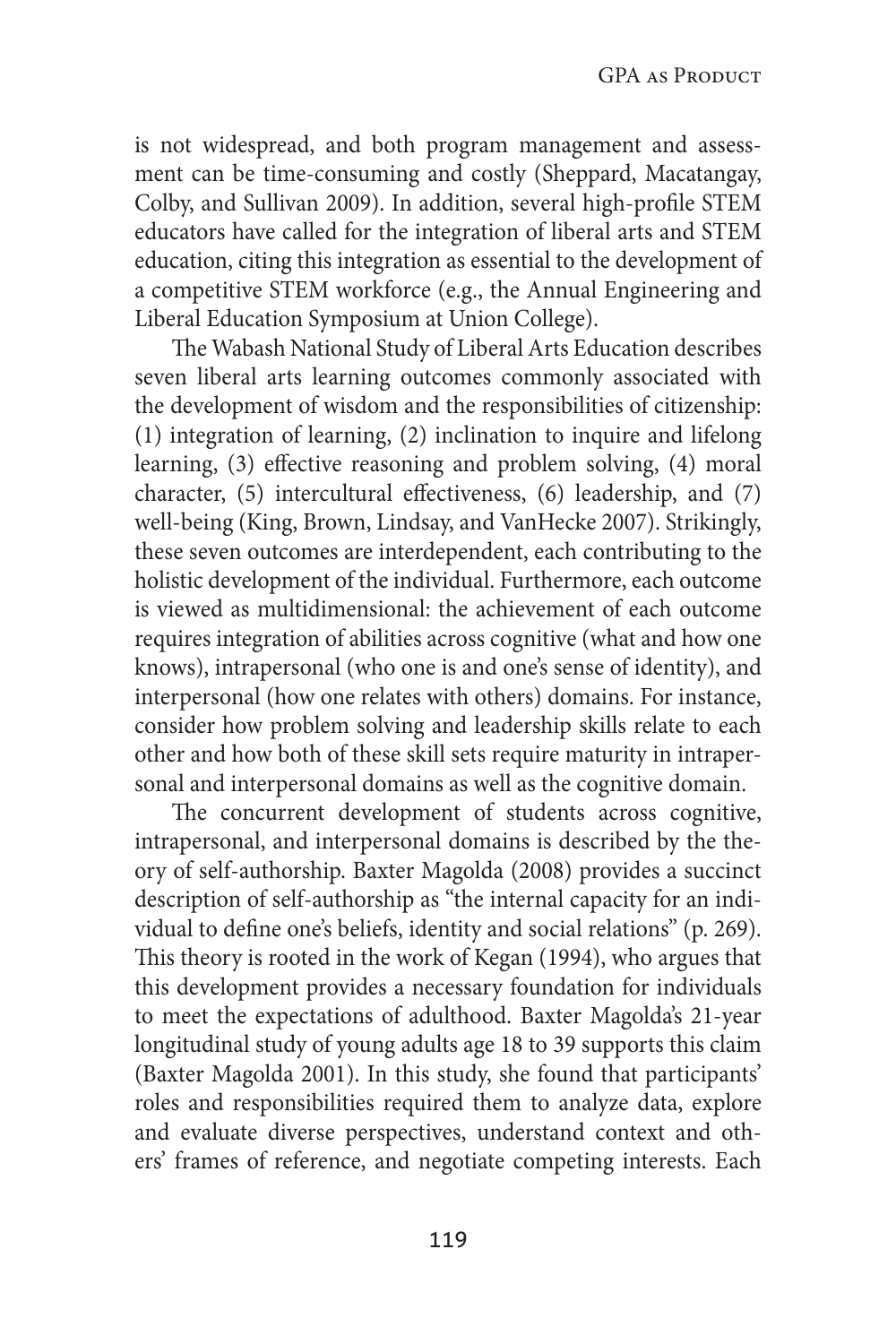is not widespread, and both program management and assessment can be time-consuming and costly (Sheppard, Macatangay, Colby, and Sullivan 2009). In addition, several high-profile STEM educators have called for the integration of liberal arts and STEM education, citing this integration as essential to the development of a competitive STEM workforce (e.g., the Annual Engineering and Liberal Education Symposium at Union College).

The Wabash National Study of Liberal Arts Education describes seven liberal arts learning outcomes commonly associated with the development of wisdom and the responsibilities of citizenship: (1) integration of learning, (2) inclination to inquire and lifelong learning, (3) effective reasoning and problem solving, (4) moral character, (5) intercultural effectiveness, (6) leadership, and (7) well-being (King, Brown, Lindsay, and VanHecke 2007). Strikingly, these seven outcomes are interdependent, each contributing to the holistic development of the individual. Furthermore, each outcome is viewed as multidimensional: the achievement of each outcome requires integration of abilities across cognitive (what and how one knows), intrapersonal (who one is and one's sense of identity), and interpersonal (how one relates with others) domains. For instance, consider how problem solving and leadership skills relate to each other and how both of these skill sets require maturity in intrapersonal and interpersonal domains as well as the cognitive domain.

The concurrent development of students across cognitive, intrapersonal, and interpersonal domains is described by the theory of self-authorship. Baxter Magolda (2008) provides a succinct description of self-authorship as "the internal capacity for an individual to define one's beliefs, identity and social relations" (p. 269). This theory is rooted in the work of Kegan (1994), who argues that this development provides a necessary foundation for individuals to meet the expectations of adulthood. Baxter Magolda's 21-year longitudinal study of young adults age 18 to 39 supports this claim (Baxter Magolda 2001). In this study, she found that participants' roles and responsibilities required them to analyze data, explore and evaluate diverse perspectives, understand context and others' frames of reference, and negotiate competing interests. Each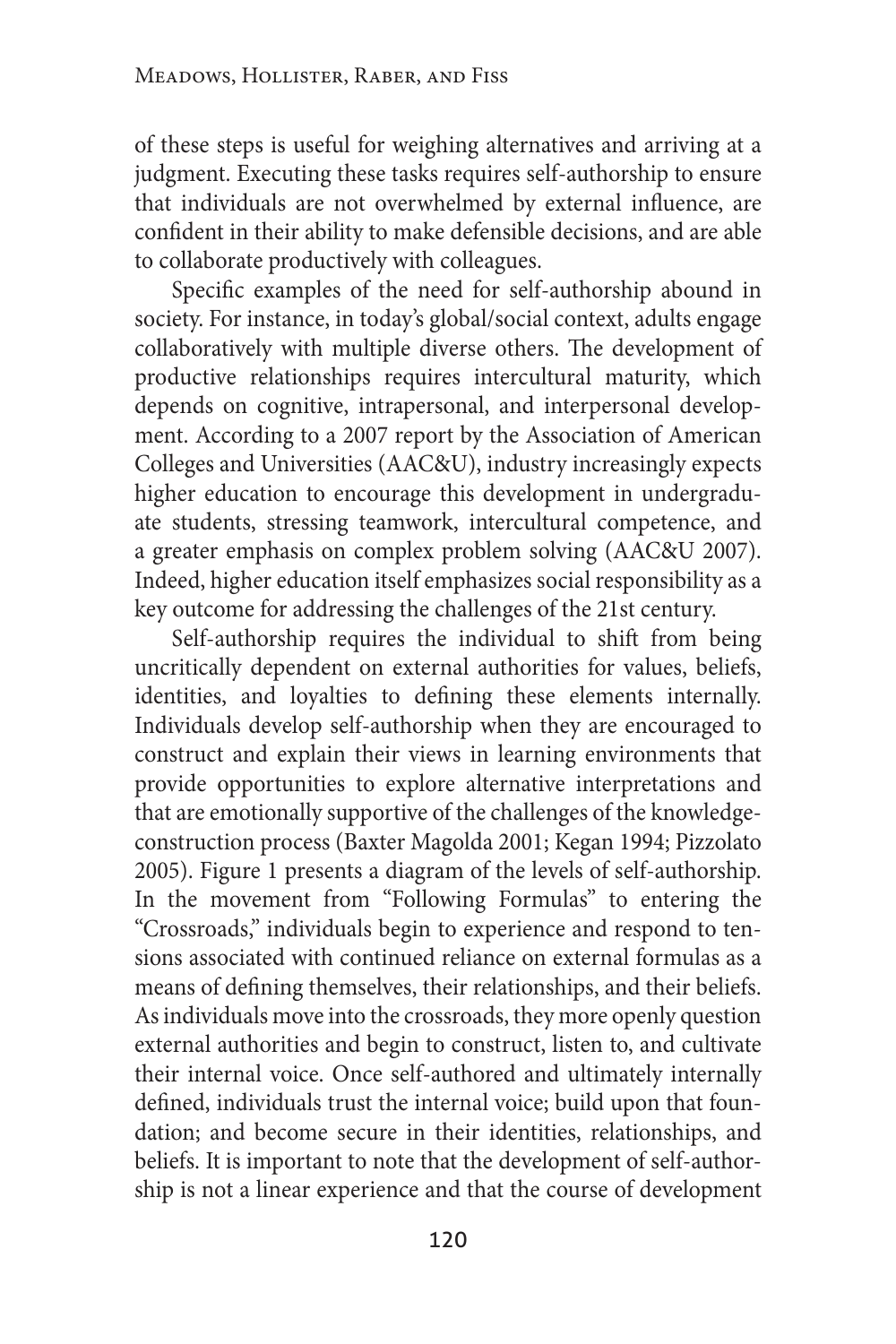of these steps is useful for weighing alternatives and arriving at a judgment. Executing these tasks requires self-authorship to ensure that individuals are not overwhelmed by external influence, are confident in their ability to make defensible decisions, and are able to collaborate productively with colleagues.

Specific examples of the need for self-authorship abound in society. For instance, in today's global/social context, adults engage collaboratively with multiple diverse others. The development of productive relationships requires intercultural maturity, which depends on cognitive, intrapersonal, and interpersonal development. According to a 2007 report by the Association of American Colleges and Universities (AAC&U), industry increasingly expects higher education to encourage this development in undergraduate students, stressing teamwork, intercultural competence, and a greater emphasis on complex problem solving (AAC&U 2007). Indeed, higher education itself emphasizes social responsibility as a key outcome for addressing the challenges of the 21st century.

Self-authorship requires the individual to shift from being uncritically dependent on external authorities for values, beliefs, identities, and loyalties to defining these elements internally. Individuals develop self-authorship when they are encouraged to construct and explain their views in learning environments that provide opportunities to explore alternative interpretations and that are emotionally supportive of the challenges of the knowledgeconstruction process (Baxter Magolda 2001; Kegan 1994; Pizzolato 2005). Figure 1 presents a diagram of the levels of self-authorship. In the movement from "Following Formulas" to entering the "Crossroads," individuals begin to experience and respond to tensions associated with continued reliance on external formulas as a means of defining themselves, their relationships, and their beliefs. As individuals move into the crossroads, they more openly question external authorities and begin to construct, listen to, and cultivate their internal voice. Once self-authored and ultimately internally defined, individuals trust the internal voice; build upon that foundation; and become secure in their identities, relationships, and beliefs. It is important to note that the development of self-authorship is not a linear experience and that the course of development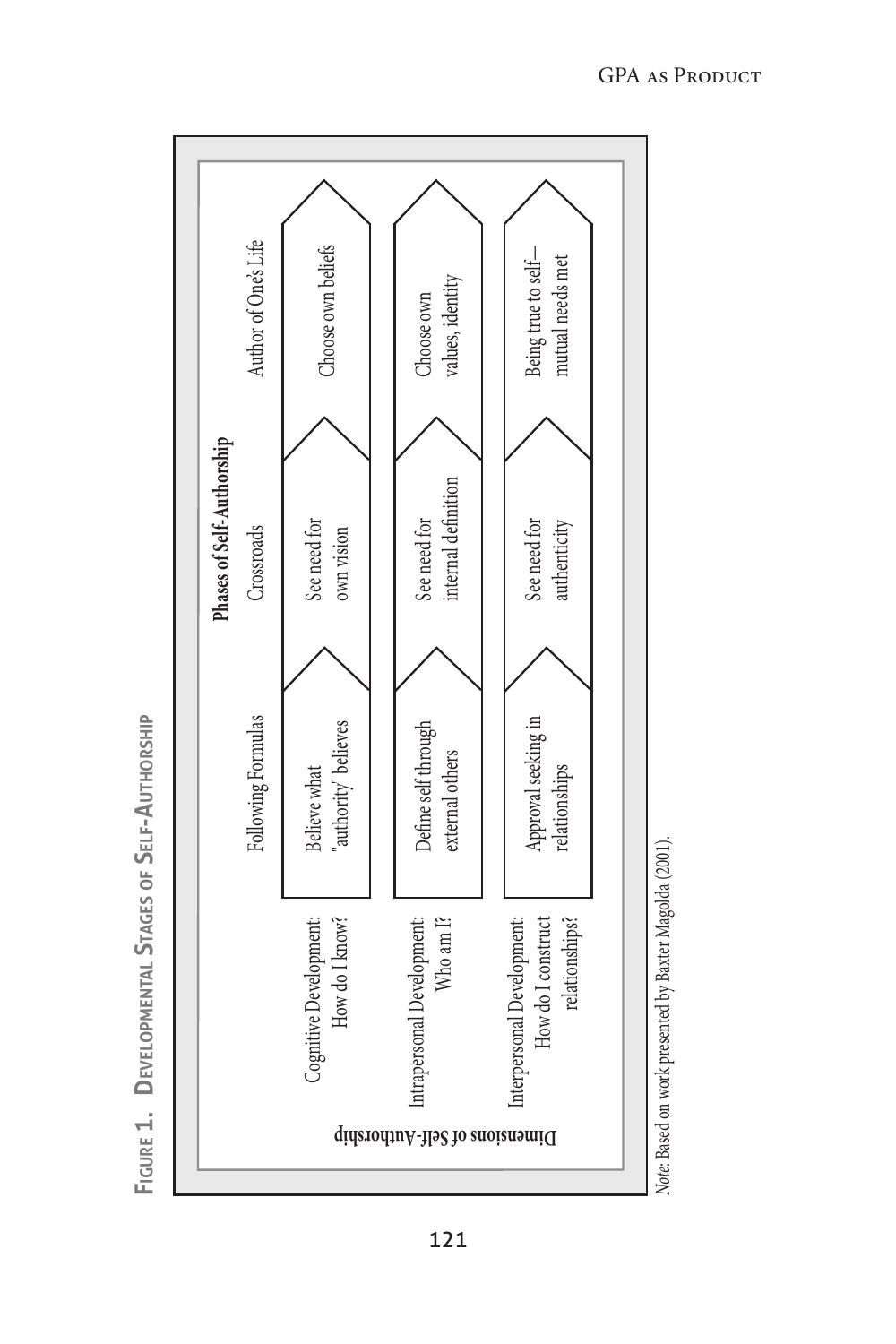

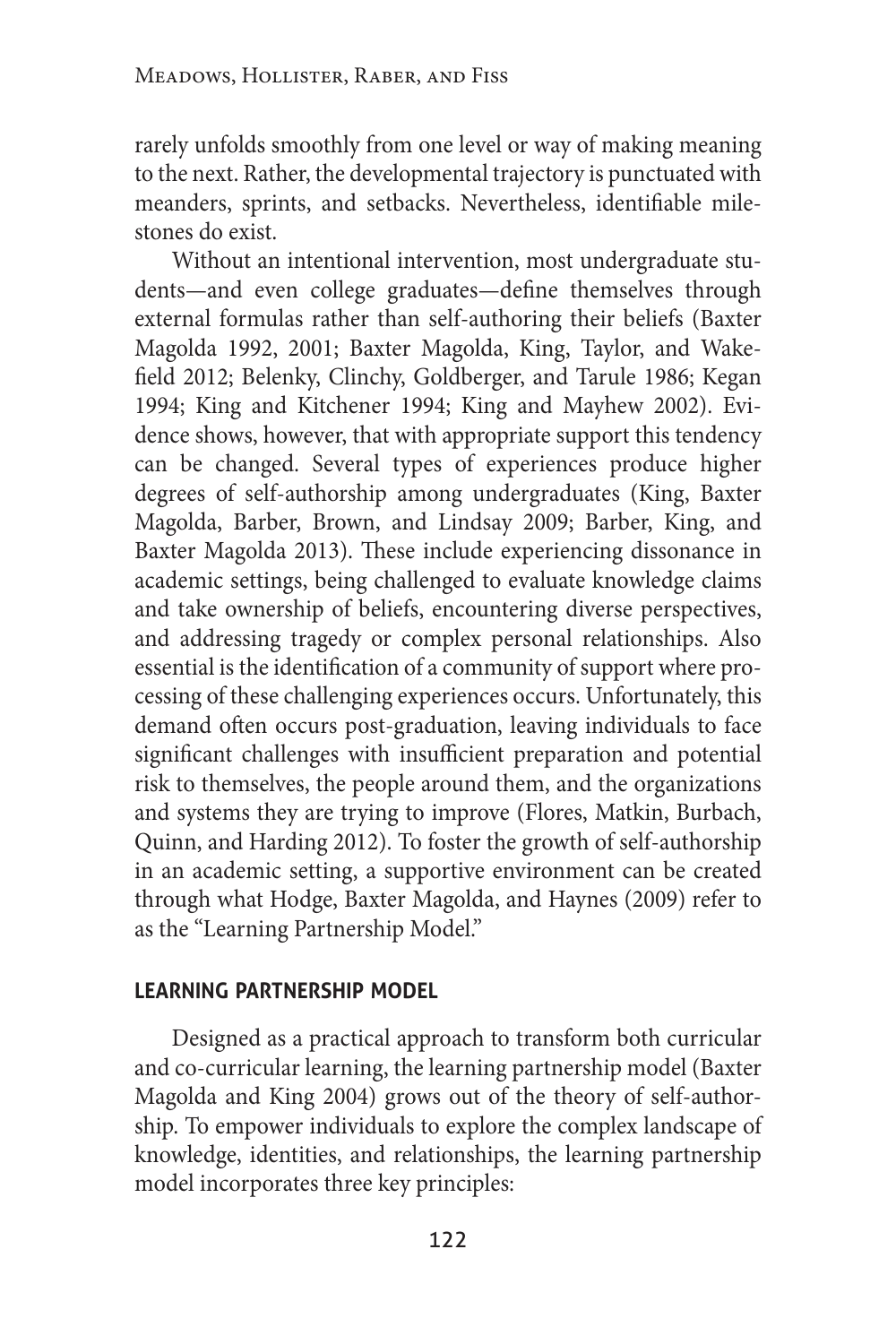rarely unfolds smoothly from one level or way of making meaning to the next. Rather, the developmental trajectory is punctuated with meanders, sprints, and setbacks. Nevertheless, identifiable milestones do exist.

Without an intentional intervention, most undergraduate students—and even college graduates—define themselves through external formulas rather than self-authoring their beliefs (Baxter Magolda 1992, 2001; Baxter Magolda, King, Taylor, and Wakefield 2012; Belenky, Clinchy, Goldberger, and Tarule 1986; Kegan 1994; King and Kitchener 1994; King and Mayhew 2002). Evidence shows, however, that with appropriate support this tendency can be changed. Several types of experiences produce higher degrees of self-authorship among undergraduates (King, Baxter Magolda, Barber, Brown, and Lindsay 2009; Barber, King, and Baxter Magolda 2013). These include experiencing dissonance in academic settings, being challenged to evaluate knowledge claims and take ownership of beliefs, encountering diverse perspectives, and addressing tragedy or complex personal relationships. Also essential is the identification of a community of support where processing of these challenging experiences occurs. Unfortunately, this demand often occurs post-graduation, leaving individuals to face significant challenges with insufficient preparation and potential risk to themselves, the people around them, and the organizations and systems they are trying to improve (Flores, Matkin, Burbach, Quinn, and Harding 2012). To foster the growth of self-authorship in an academic setting, a supportive environment can be created through what Hodge, Baxter Magolda, and Haynes (2009) refer to as the "Learning Partnership Model."

## **learning partnership model**

Designed as a practical approach to transform both curricular and co-curricular learning, the learning partnership model (Baxter Magolda and King 2004) grows out of the theory of self-authorship. To empower individuals to explore the complex landscape of knowledge, identities, and relationships, the learning partnership model incorporates three key principles: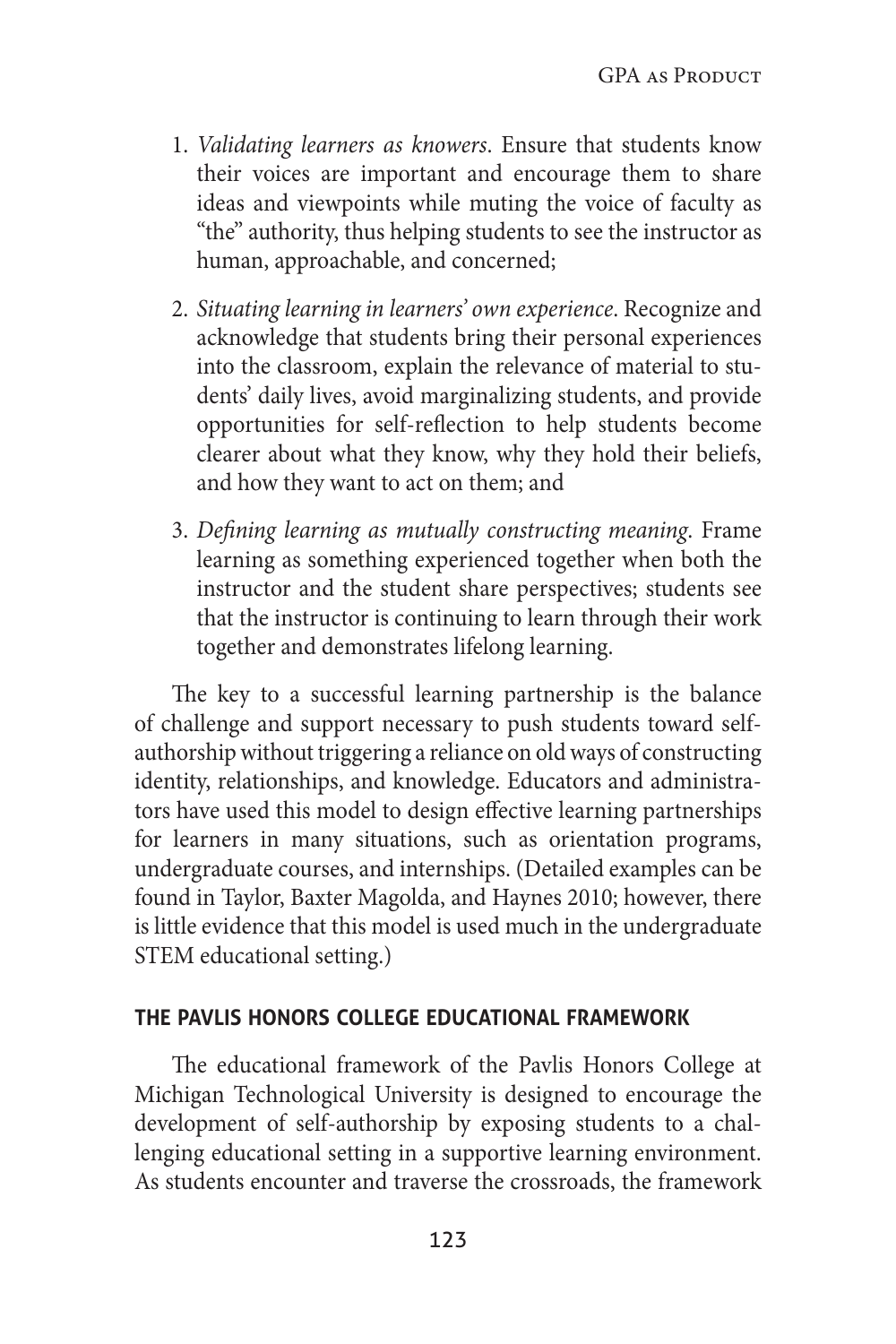- 1. *Validating learners as knowers*. Ensure that students know their voices are important and encourage them to share ideas and viewpoints while muting the voice of faculty as "the" authority, thus helping students to see the instructor as human, approachable, and concerned;
- 2. *Situating learning in learners' own experience*. Recognize and acknowledge that students bring their personal experiences into the classroom, explain the relevance of material to students' daily lives, avoid marginalizing students, and provide opportunities for self-reflection to help students become clearer about what they know, why they hold their beliefs, and how they want to act on them; and
- 3. *Defining learning as mutually constructing meaning*. Frame learning as something experienced together when both the instructor and the student share perspectives; students see that the instructor is continuing to learn through their work together and demonstrates lifelong learning.

The key to a successful learning partnership is the balance of challenge and support necessary to push students toward selfauthorship without triggering a reliance on old ways of constructing identity, relationships, and knowledge. Educators and administrators have used this model to design effective learning partnerships for learners in many situations, such as orientation programs, undergraduate courses, and internships. (Detailed examples can be found in Taylor, Baxter Magolda, and Haynes 2010; however, there is little evidence that this model is used much in the undergraduate STEM educational setting.)

#### **the pavlis honors college educational framework**

The educational framework of the Pavlis Honors College at Michigan Technological University is designed to encourage the development of self-authorship by exposing students to a challenging educational setting in a supportive learning environment. As students encounter and traverse the crossroads, the framework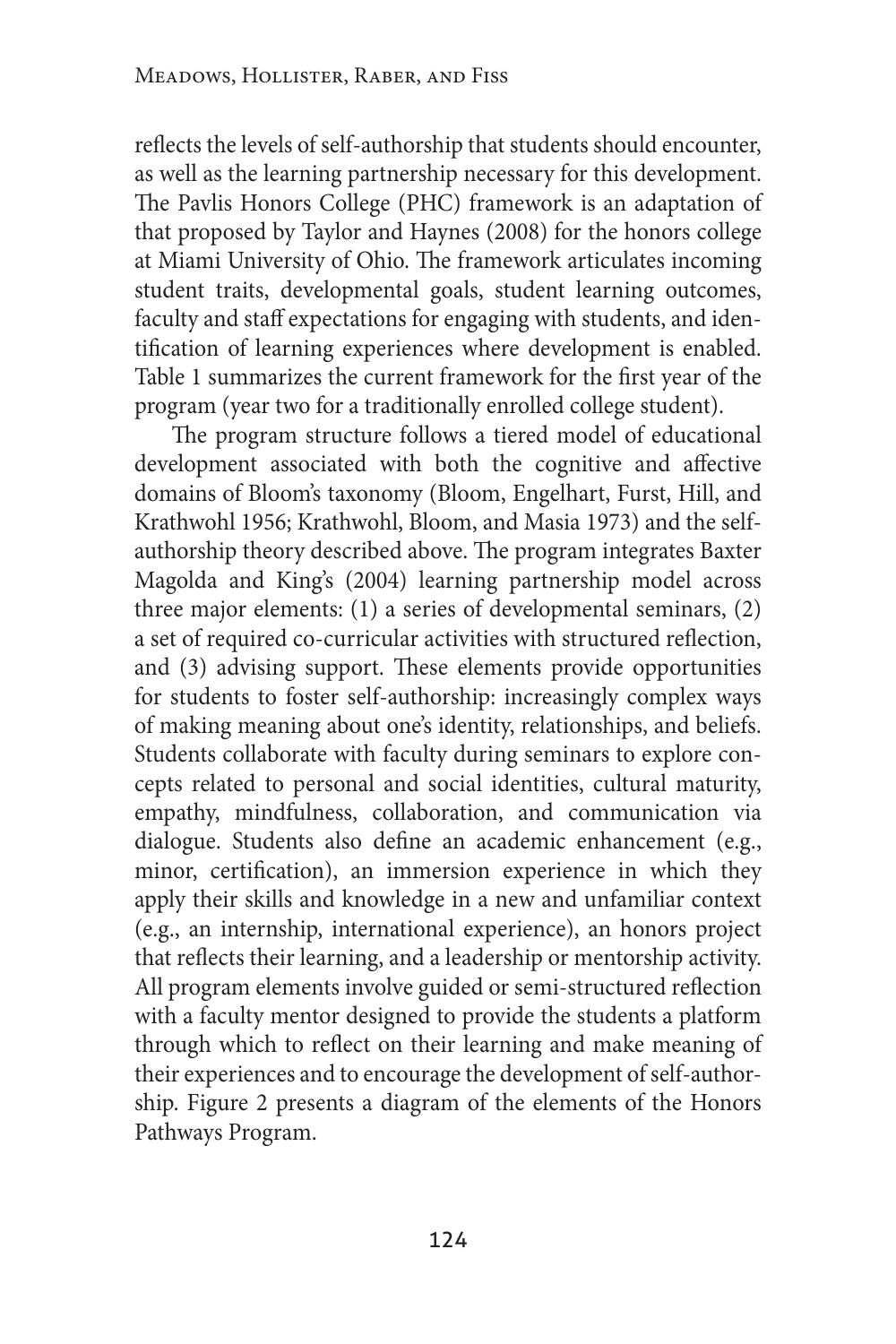reflects the levels of self-authorship that students should encounter, as well as the learning partnership necessary for this development. The Pavlis Honors College (PHC) framework is an adaptation of that proposed by Taylor and Haynes (2008) for the honors college at Miami University of Ohio. The framework articulates incoming student traits, developmental goals, student learning outcomes, faculty and staff expectations for engaging with students, and identification of learning experiences where development is enabled. Table 1 summarizes the current framework for the first year of the program (year two for a traditionally enrolled college student).

The program structure follows a tiered model of educational development associated with both the cognitive and affective domains of Bloom's taxonomy (Bloom, Engelhart, Furst, Hill, and Krathwohl 1956; Krathwohl, Bloom, and Masia 1973) and the selfauthorship theory described above. The program integrates Baxter Magolda and King's (2004) learning partnership model across three major elements: (1) a series of developmental seminars, (2) a set of required co-curricular activities with structured reflection, and (3) advising support. These elements provide opportunities for students to foster self-authorship: increasingly complex ways of making meaning about one's identity, relationships, and beliefs. Students collaborate with faculty during seminars to explore concepts related to personal and social identities, cultural maturity, empathy, mindfulness, collaboration, and communication via dialogue. Students also define an academic enhancement (e.g., minor, certification), an immersion experience in which they apply their skills and knowledge in a new and unfamiliar context (e.g., an internship, international experience), an honors project that reflects their learning, and a leadership or mentorship activity. All program elements involve guided or semi-structured reflection with a faculty mentor designed to provide the students a platform through which to reflect on their learning and make meaning of their experiences and to encourage the development of self-authorship. Figure 2 presents a diagram of the elements of the Honors Pathways Program.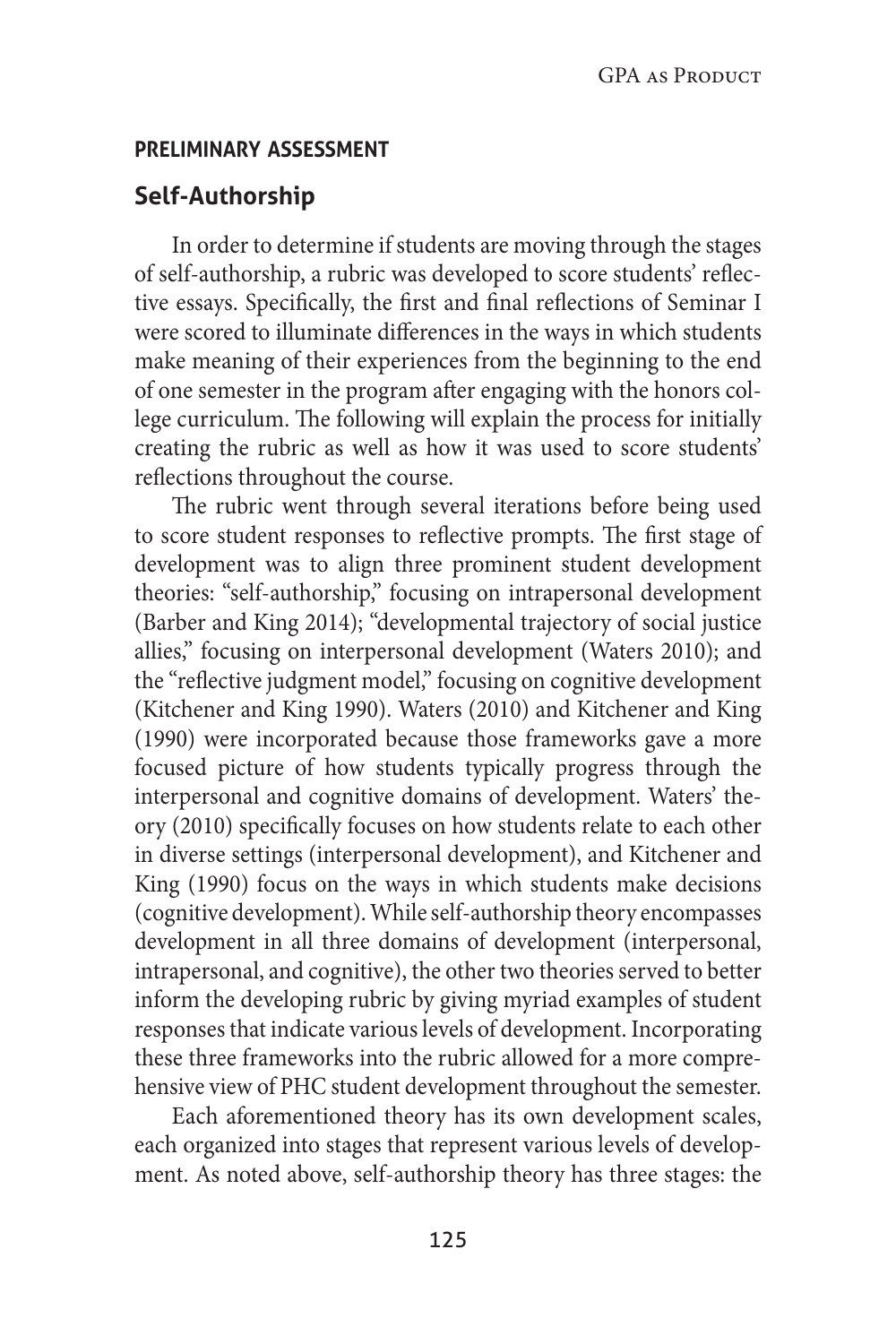#### **preliminary assessment**

# **Self-Authorship**

In order to determine if students are moving through the stages of self-authorship, a rubric was developed to score students' reflective essays. Specifically, the first and final reflections of Seminar I were scored to illuminate differences in the ways in which students make meaning of their experiences from the beginning to the end of one semester in the program after engaging with the honors college curriculum. The following will explain the process for initially creating the rubric as well as how it was used to score students' reflections throughout the course.

The rubric went through several iterations before being used to score student responses to reflective prompts. The first stage of development was to align three prominent student development theories: "self-authorship," focusing on intrapersonal development (Barber and King 2014); "developmental trajectory of social justice allies," focusing on interpersonal development (Waters 2010); and the "reflective judgment model," focusing on cognitive development (Kitchener and King 1990). Waters (2010) and Kitchener and King (1990) were incorporated because those frameworks gave a more focused picture of how students typically progress through the interpersonal and cognitive domains of development. Waters' theory (2010) specifically focuses on how students relate to each other in diverse settings (interpersonal development), and Kitchener and King (1990) focus on the ways in which students make decisions (cognitive development). While self-authorship theory encompasses development in all three domains of development (interpersonal, intrapersonal, and cognitive), the other two theories served to better inform the developing rubric by giving myriad examples of student responses that indicate various levels of development. Incorporating these three frameworks into the rubric allowed for a more comprehensive view of PHC student development throughout the semester.

Each aforementioned theory has its own development scales, each organized into stages that represent various levels of development. As noted above, self-authorship theory has three stages: the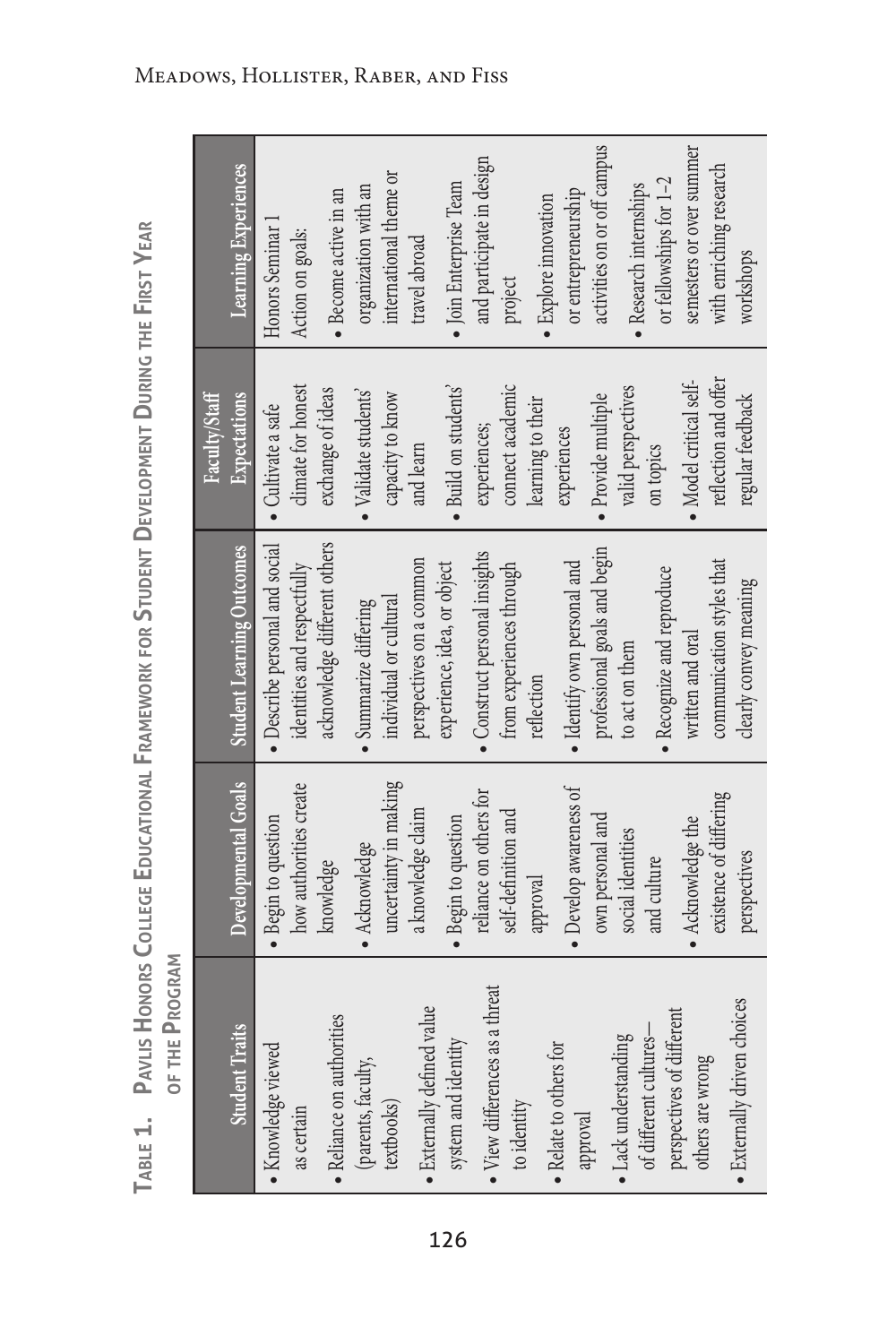| ċ<br>é                                                          |                                 |
|-----------------------------------------------------------------|---------------------------------|
| Ï                                                               |                                 |
|                                                                 |                                 |
| I<br>Ì<br>è<br>ı<br>J                                           |                                 |
| ē<br>⋣<br>İ                                                     |                                 |
| <b>URING</b>                                                    |                                 |
| $\mathfrak{c}$<br>١                                             |                                 |
| Ŀ<br><b>MENT</b><br><b>ELOP</b><br>$\geq$<br>J<br>$\Delta$<br>Í |                                 |
| ρ<br><b>UDENT</b><br>F<br>U<br>١                                |                                 |
| .<br>≘<br>Ò<br>ū                                                |                                 |
| ⊻<br>/OR'<br>Š<br>í<br>$\geq$<br>ć<br>ı<br>ı                    |                                 |
| ⋚<br>ē<br>١<br>Ĕ<br>⊲<br>ر<br>ţ<br>∍<br>١<br>l<br>ı<br>J        |                                 |
| ı<br>ı<br>L<br>t<br>۱<br>I<br>ï<br>ı<br>J<br>J<br>Í<br>ţ<br>J   |                                 |
| t<br>١<br>ă<br>Ć<br>į<br>Í<br>١                                 | Ś<br>í<br>Í<br>ţ<br>j<br>¢<br>Í |
| t<br>١<br>j<br>ţ<br>ź<br>í<br>۵                                 | 1<br>I<br>i<br>ī<br>ă           |
| ł<br>ŧ<br>J<br>ц<br>J<br>a<br>ì<br>i.<br>ı                      |                                 |

|                                                     |                        |                                  | Faculty/Staff                |                             |
|-----------------------------------------------------|------------------------|----------------------------------|------------------------------|-----------------------------|
| <b>Student Traits</b>                               | Developmental Goals    | <b>Student Learning Outcomes</b> | Expectations                 | Learning Experiences        |
| · Knowledge viewed                                  | · Begin to question    | • Describe personal and social   | · Cultivate a safe           | Honors Seminar 1            |
| as certain                                          | how authorities create | identities and respectfully      | climate for honest           | Action on goals:            |
| • Reliance on authorities                           | knowledge              | acknowledge different others     | exchange of ideas            | · Become active in an       |
| (parents, faculty,                                  | • Acknowledge          | · Summarize differing            | $\bullet$ Validate students' | organization with an        |
| textbooks)                                          | uncertainty in making  | individual or cultural           | capacity to know             | international theme or      |
| • Externally defined value                          | a knowledge claim      | perspectives on a common         | and learn                    | travel abroad               |
| system and identity                                 | · Begin to question    | experience, idea, or object      | · Build on students'         | · Join Enterprise Team      |
| • View differences as a threat                      | reliance on others for | · Construct personal insights    | experiences;                 | and participate in design   |
| to identity                                         | self-definition and    | from experiences through         | connect academic             | project                     |
|                                                     | approval               | reflection                       | learning to their            | • Explore innovation        |
| • Relate to others for<br>approval                  | · Develop awareness of | · Identify own personal and      | experiences                  | or entrepreneurship         |
|                                                     | own personal and       | professional goals and begin     | · Provide multiple           | activities on or off campus |
| · Lack understanding                                | social identities      | to act on them                   | valid perspectives           | • Research internships      |
| perspectives of different<br>of different cultures- | and culture            | • Recognize and reproduce        | on topics                    | or fellowships for 1-2      |
| others are wrong                                    | • Acknowledge the      | written and oral                 | · Model critical self-       | semesters or over summer    |
|                                                     | existence of differing | communication styles that        | reflection and offer         | with enriching research     |
| • Externally driven choices                         | perspectives           | clearly convey meaning           | regular feedback             | workshops                   |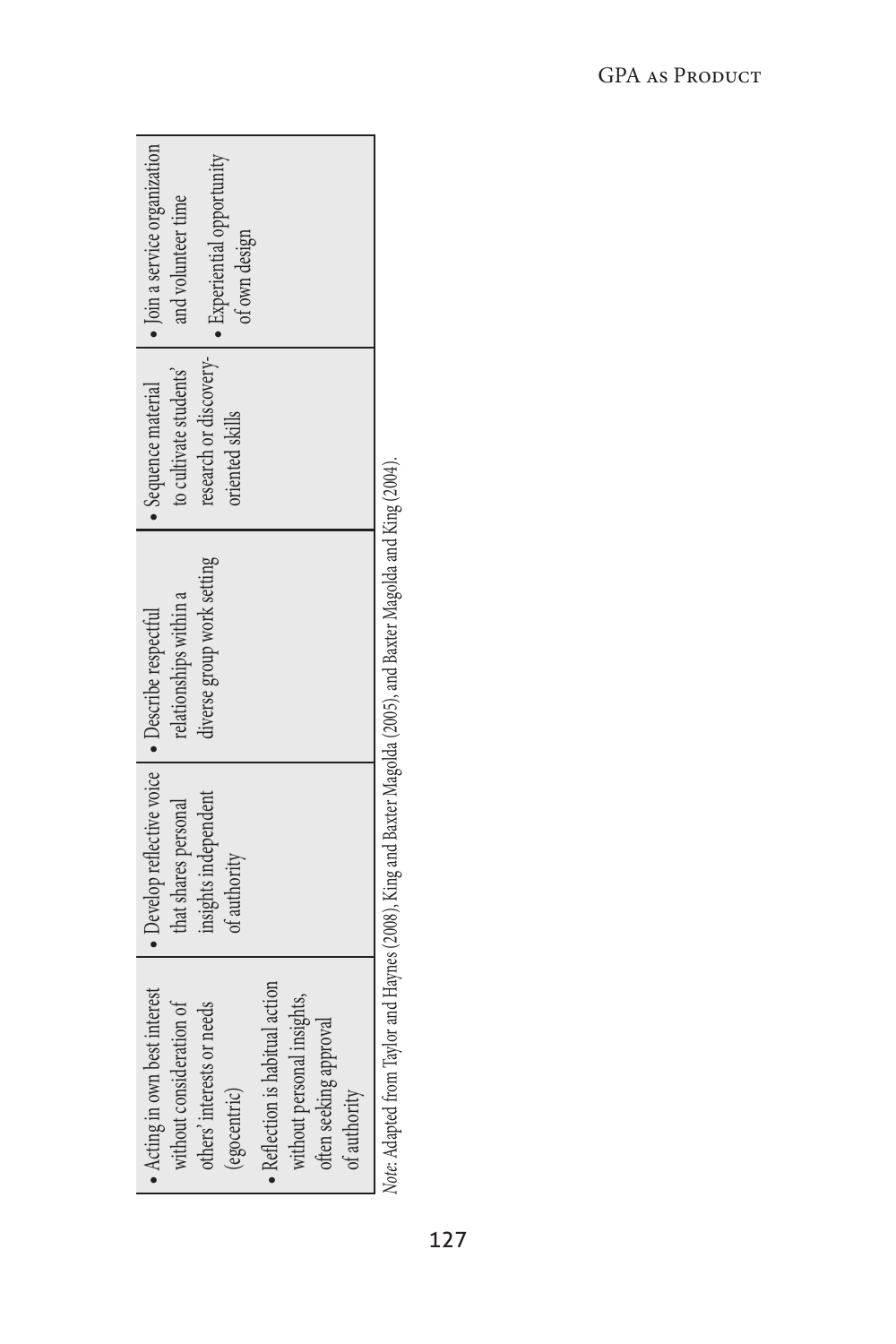| $\bullet$ Join a service organization<br>research or discovery-   . Experiential opportunity<br>and volunteer time<br>of own design                                                                               |                                                                                                                |
|-------------------------------------------------------------------------------------------------------------------------------------------------------------------------------------------------------------------|----------------------------------------------------------------------------------------------------------------|
| to cultivate students<br>$\bullet$ Sequence material<br>oriented skills                                                                                                                                           |                                                                                                                |
| diverse group work setting<br>relationships within a                                                                                                                                                              |                                                                                                                |
| • Develop reflective voice   • Describe respectful<br>insights independent<br>that shares personal<br>of authority                                                                                                |                                                                                                                |
| • Acting in own best interest<br>• Reflection is habitual action<br>without personal insights,<br>without consideration of<br>others' interests or needs<br>often seeking approval<br>egocentric)<br>of authority | Ustal Anti-Long From Taylor and Long (2000) Vina and Paytar Macolda (2005) and Paytar Marclac Long Vina (2001) |

Note: Adapted from Taylor and Haynes (2008), King and Baxter Magolda (2005), and Baxter Magolda and King (2004). *Note*: Adapted from Taylor and Haynes (2008), King and Baxter Magolda (2005), and Baxter Magolda and King (2004).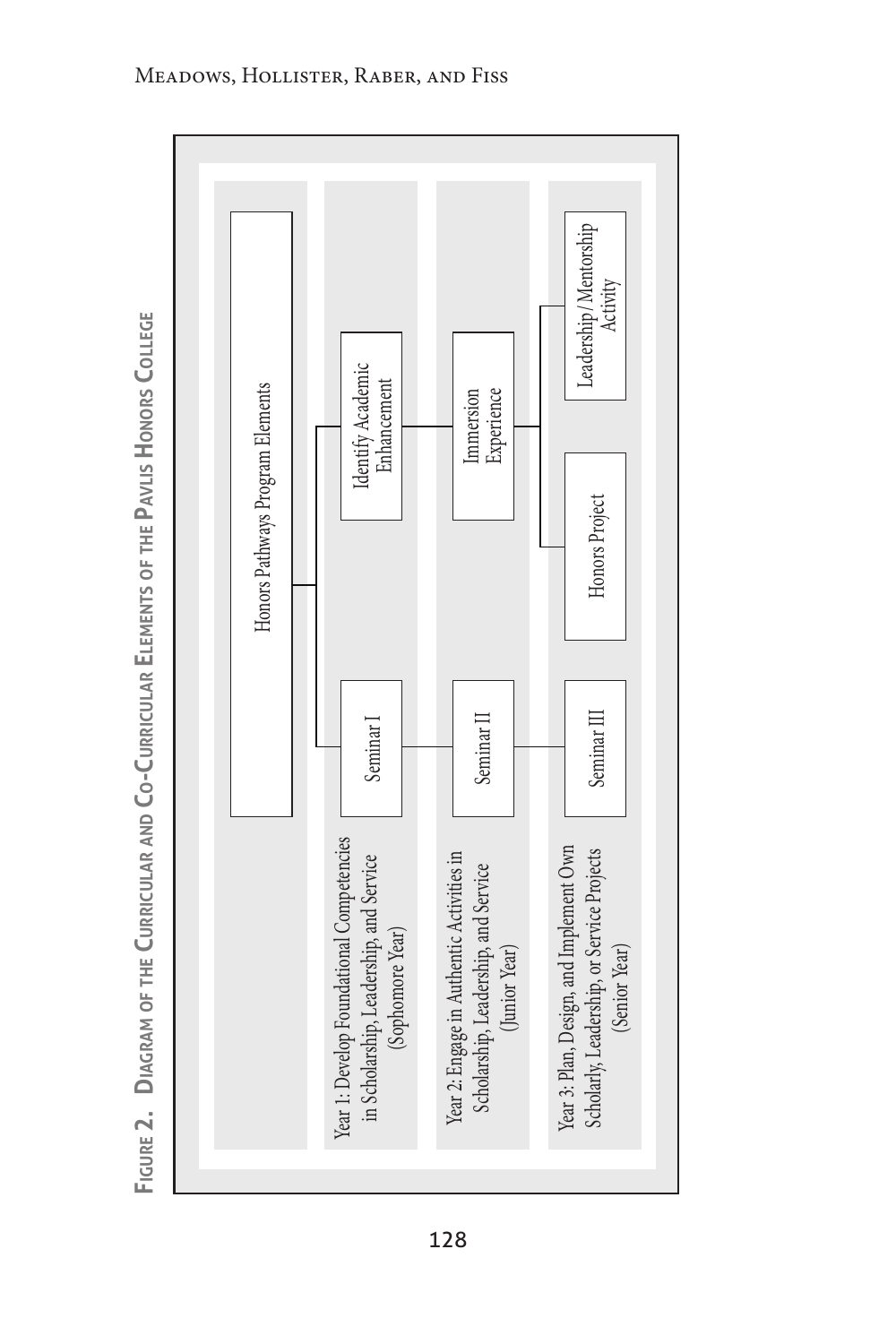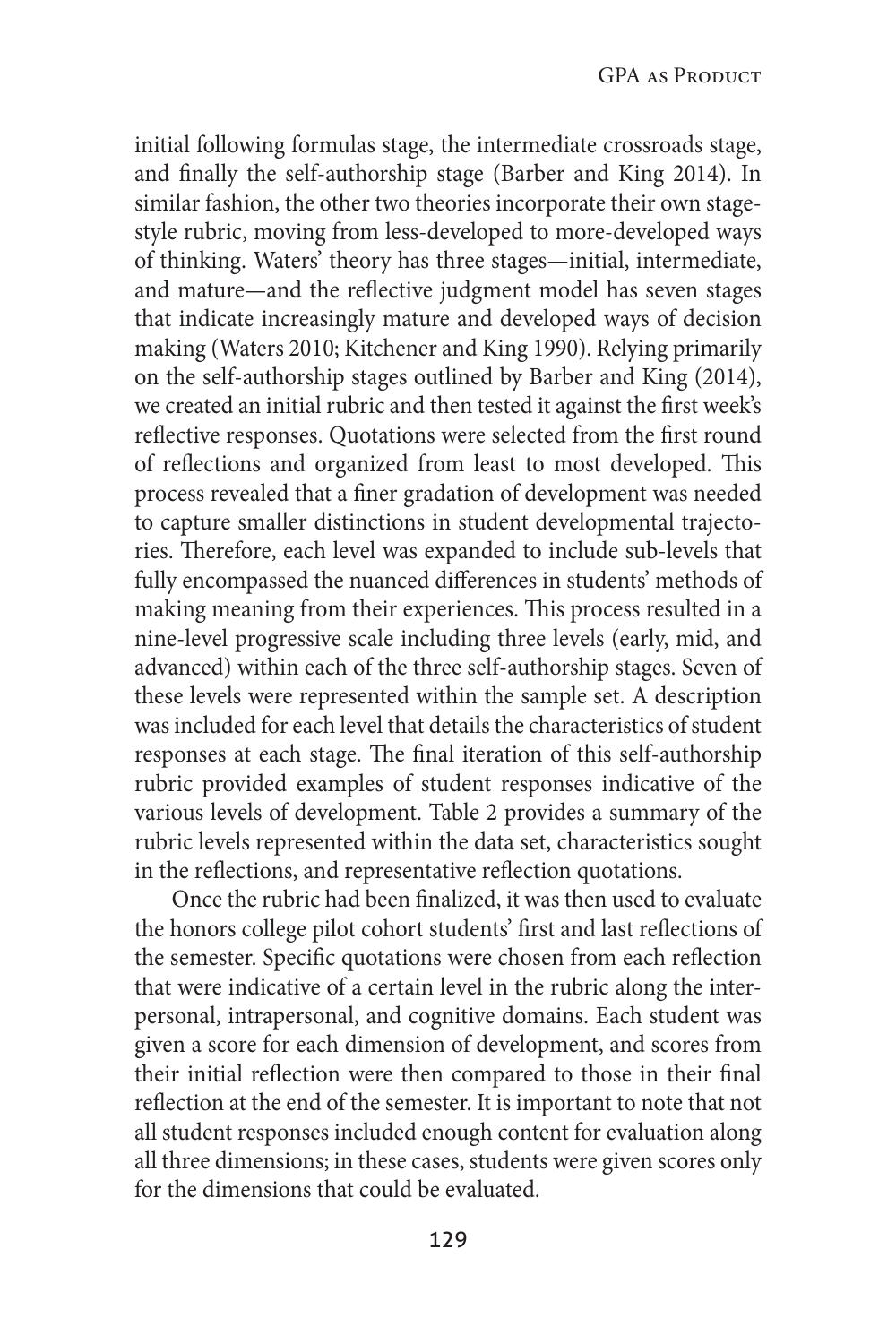initial following formulas stage, the intermediate crossroads stage, and finally the self-authorship stage (Barber and King 2014). In similar fashion, the other two theories incorporate their own stagestyle rubric, moving from less-developed to more-developed ways of thinking. Waters' theory has three stages—initial, intermediate, and mature—and the reflective judgment model has seven stages that indicate increasingly mature and developed ways of decision making (Waters 2010; Kitchener and King 1990). Relying primarily on the self-authorship stages outlined by Barber and King (2014), we created an initial rubric and then tested it against the first week's reflective responses. Quotations were selected from the first round of reflections and organized from least to most developed. This process revealed that a finer gradation of development was needed to capture smaller distinctions in student developmental trajectories. Therefore, each level was expanded to include sub-levels that fully encompassed the nuanced differences in students' methods of making meaning from their experiences. This process resulted in a nine-level progressive scale including three levels (early, mid, and advanced) within each of the three self-authorship stages. Seven of these levels were represented within the sample set. A description was included for each level that details the characteristics of student responses at each stage. The final iteration of this self-authorship rubric provided examples of student responses indicative of the various levels of development. Table 2 provides a summary of the rubric levels represented within the data set, characteristics sought in the reflections, and representative reflection quotations.

Once the rubric had been finalized, it was then used to evaluate the honors college pilot cohort students' first and last reflections of the semester. Specific quotations were chosen from each reflection that were indicative of a certain level in the rubric along the interpersonal, intrapersonal, and cognitive domains. Each student was given a score for each dimension of development, and scores from their initial reflection were then compared to those in their final reflection at the end of the semester. It is important to note that not all student responses included enough content for evaluation along all three dimensions; in these cases, students were given scores only for the dimensions that could be evaluated.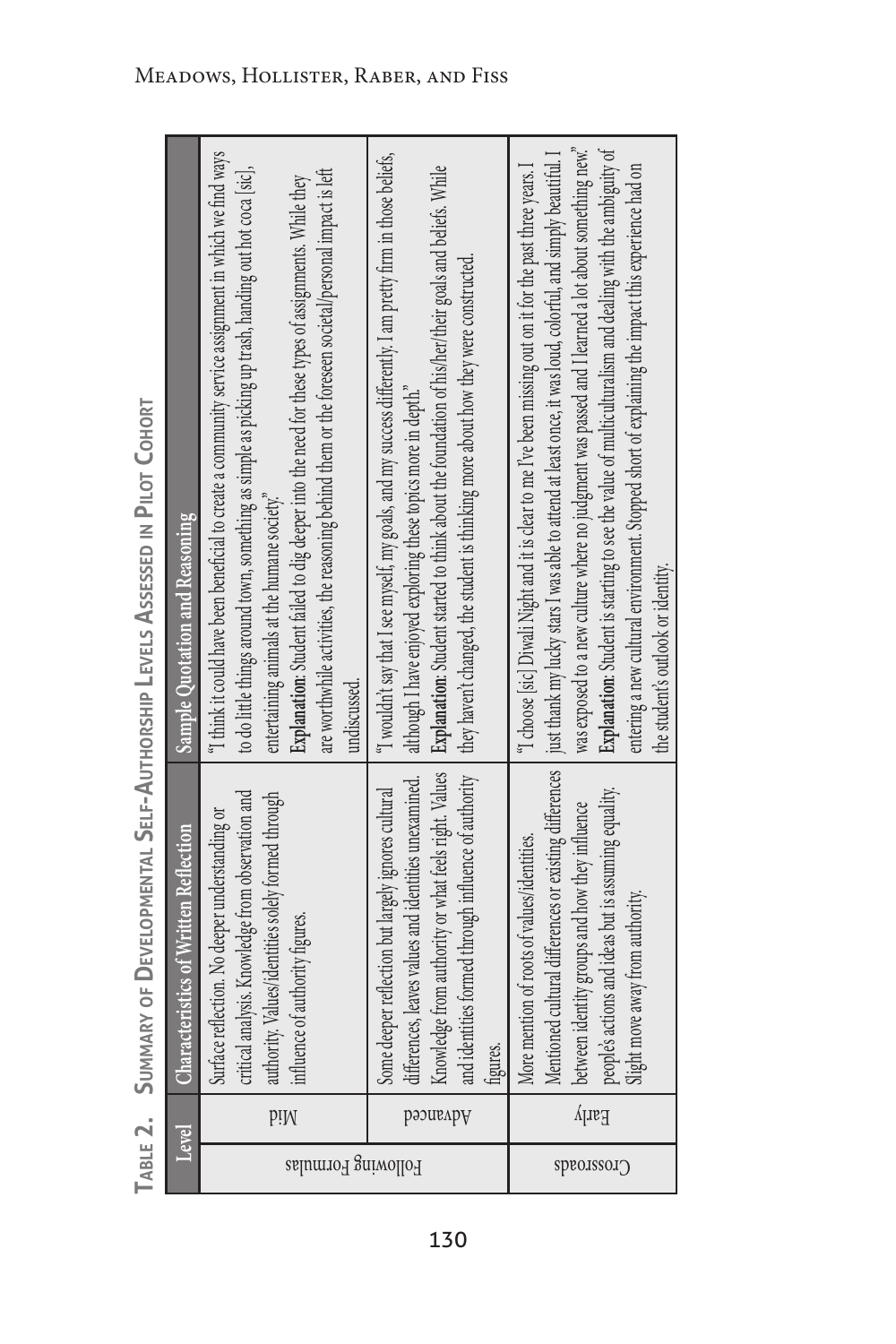| Level              |          | <b>Characteristics of Written Reflection</b>                                                                                                                                                                                                        | Sample Quotation and Reasoning                                                                                                                                                                                                                                                                                                                                                                                                                                                                                                                                                           |
|--------------------|----------|-----------------------------------------------------------------------------------------------------------------------------------------------------------------------------------------------------------------------------------------------------|------------------------------------------------------------------------------------------------------------------------------------------------------------------------------------------------------------------------------------------------------------------------------------------------------------------------------------------------------------------------------------------------------------------------------------------------------------------------------------------------------------------------------------------------------------------------------------------|
| Following Formulas | piM      | critical analysis. Knowledge from observation and<br>authority. Values/identities solely formed through<br>Surface reflection. No deeper understanding or<br>influence of authority figures.                                                        | "I think it could have been beneficial to create a community service assignment in which we find ways<br>are worthwhile activities, the reasoning behind them or the foreseen societal/personal impact is left<br>to do little things around town, something as simple as picking up trash, handing out hot coca [sic],<br>Explanation: Student failed to dig deeper into the need for these types of assignments. While they<br>entertaining animals at the humane society."<br>undiscussed                                                                                             |
|                    | рәэивлру | Knowledge from authority or what feels right. Values  <br>and identities formed through influence of authority<br>differences, leaves values and identities unexamined.<br>Some deeper reflection but largely ignores cultural<br>hgures.           | "I wouldn't say that I see myself, my goals, and my success differently. I am pretty firm in those beliefs,<br><b>Explanation:</b> Student started to think about the foundation of his/her/their goals and beliefs. While<br>they haven't changed, the student is thinking more about how they were constructed.<br>although I have enjoyed exploring these topics more in depth."                                                                                                                                                                                                      |
| Crosscoacy         | Early    | Mentioned cultural differences or existing differences<br>people's actions and ideas but is assuming equality.<br>between identity groups and how they influence<br>More mention of roots of values/identities.<br>Slight move away from authority. | was exposed to a new culture where no judgment was passed and I learned a lot about something new."<br>Explanation: Student is starting to see the value of multiculturalism and dealing with the ambiguity of<br>just thank my lucky stars I was able to attend at least once, it was loud, colorful, and simply beautiful. I<br>entering a new cultural environment. Stopped short of explaining the impact this experience had on<br>"I choose [sic] Diwali Night and it is clear to me I've been missing out on it for the past three years. I<br>the student's outlook or identity. |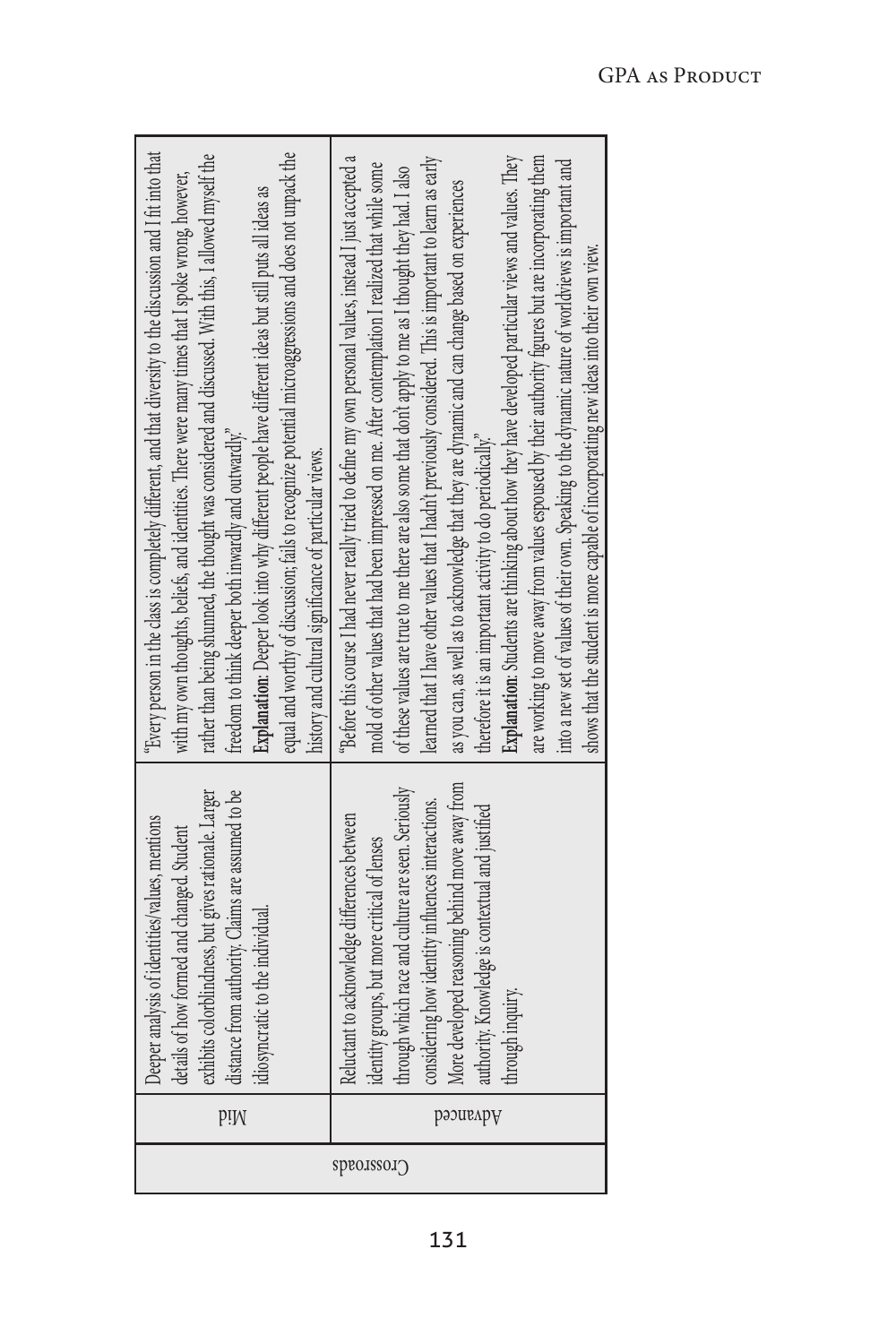| equal and worthy of discussion; fails to recognize potential microaggressions and does not unpack the<br>"Every person in the class is completely different, and that diversity to the discussion and I fit into that<br>rather than being shunned, the thought was considered and discussed. With this, I allowed myself the<br>with my own thoughts, beliefs, and identities. There were many times that I spoke wrong, however,<br>Explanation: Deeper look into why different people have different ideas but still puts all ideas as<br>freedom to think deeper both inwardly and outwardly."<br>history and cultural significance of particular views. | "Before this course I had never really tried to define my own personal values, instead I just accepted a<br>Explanation: Students are thinking about how they have developed particular views and values. They<br>are working to move away from values espoused by their authority figures but are incorporating them<br>learned that I have other values that I hadn't previously considered. This is important to learn as early<br>into a new set of values of their own. Speaking to the dynamic nature of worldviews is important and<br>mold of other values that had been impressed on me. After contemplation I realized that while some<br>of these values are true to me there are also some that don't apply to me as I thought they had. I also<br>as you can, as well as to acknowledge that they are dynamic and can change based on experiences<br>shows that the student is more capable of incorporating new ideas into their own view.<br>therefore it is an important activity to do periodically." |
|--------------------------------------------------------------------------------------------------------------------------------------------------------------------------------------------------------------------------------------------------------------------------------------------------------------------------------------------------------------------------------------------------------------------------------------------------------------------------------------------------------------------------------------------------------------------------------------------------------------------------------------------------------------|------------------------------------------------------------------------------------------------------------------------------------------------------------------------------------------------------------------------------------------------------------------------------------------------------------------------------------------------------------------------------------------------------------------------------------------------------------------------------------------------------------------------------------------------------------------------------------------------------------------------------------------------------------------------------------------------------------------------------------------------------------------------------------------------------------------------------------------------------------------------------------------------------------------------------------------------------------------------------------------------------------------------|
| distance from authority. Claims are assumed to be<br>exhibits colorblindness, but gives rationale. Larger<br>Deeper analysis of identities/values, mentions<br>details of how formed and changed. Student<br>idiosyncratic to the individual.                                                                                                                                                                                                                                                                                                                                                                                                                | More developed reasoning behind move away from<br>through which race and culture are seen. Seriously<br>considering how identity influences interactions.<br>authority. Knowledge is contextual and justified<br>Reluctant to acknowledge differences between<br>identity groups, but more critical of lenses<br>through inquiry.                                                                                                                                                                                                                                                                                                                                                                                                                                                                                                                                                                                                                                                                                      |
| p!M                                                                                                                                                                                                                                                                                                                                                                                                                                                                                                                                                                                                                                                          | рәэиғлрү                                                                                                                                                                                                                                                                                                                                                                                                                                                                                                                                                                                                                                                                                                                                                                                                                                                                                                                                                                                                               |
|                                                                                                                                                                                                                                                                                                                                                                                                                                                                                                                                                                                                                                                              | Crossoroads                                                                                                                                                                                                                                                                                                                                                                                                                                                                                                                                                                                                                                                                                                                                                                                                                                                                                                                                                                                                            |

÷.

131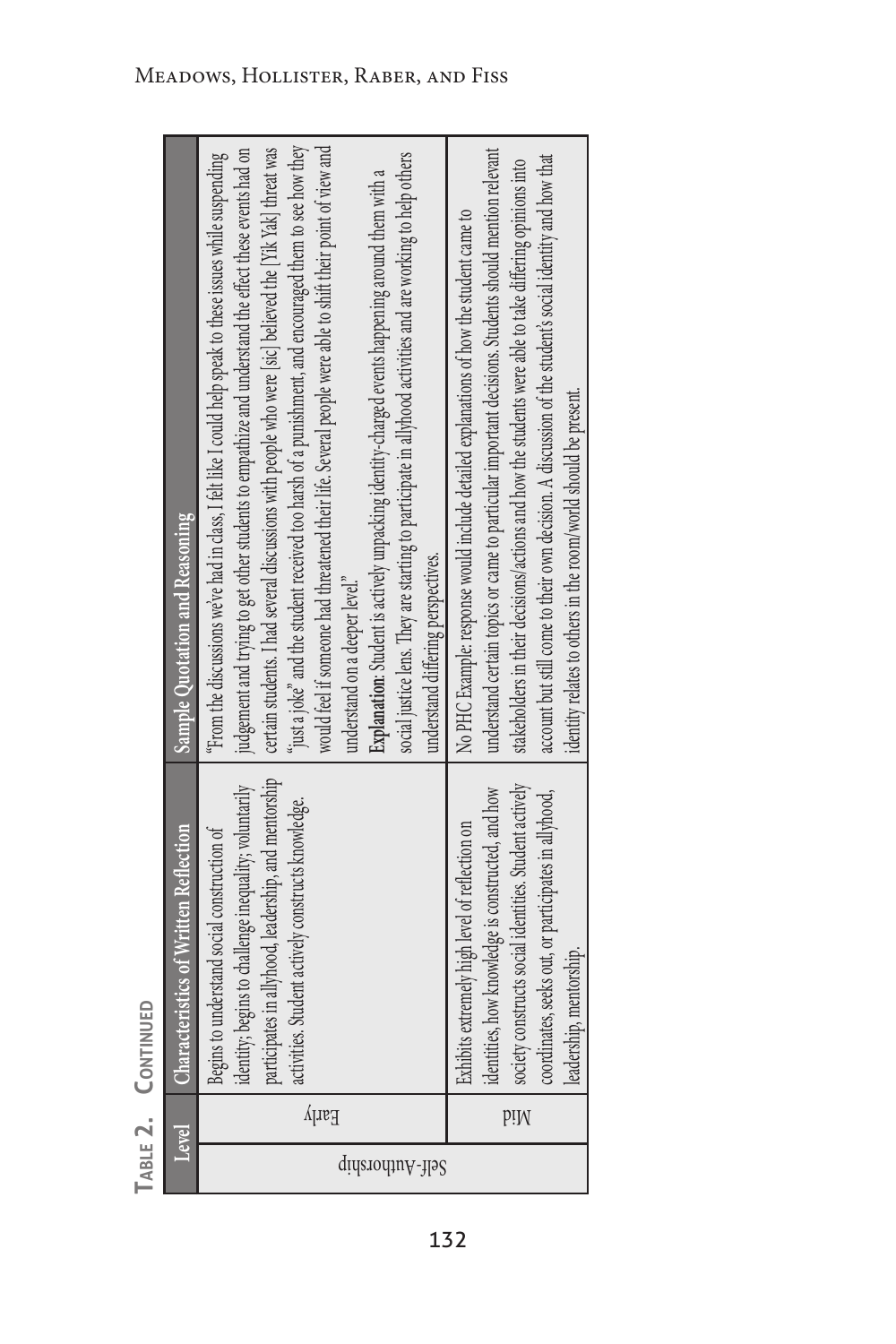TABLE 2. CONTINUED **Table 2. Continued**

| Sample Quotation and Reasoning               | would feel if someone had threatened their life. Several people were able to shift their point of view and<br>"just a joke" and the student received too harsh of a punishment, and encouraged them to see how they<br>certain students. I had several discussions with people who were [sic] believed the [Yik Yak] threat was<br>judgement and trying to get other students to empathize and understand the effect these events had on<br>"From the discussions we've had in class, I felt like I could help speak to these issues while suspending<br>social justice lens. They are starting to participate in allyhood activities and are working to help others<br>Explanation: Student is actively unpacking identity-charged events happening around them with a<br>understand differing perspectives.<br>understand on a deeper level." | understand certain topics or came to particular important decisions. Students should mention relevant<br>account but still come to their own decision. A discussion of the student's social identity and how that<br>stakeholders in their decisions/actions and how the students were able to take differing opinions into<br>No PHC Example: response would include detailed explanations of how the student came to<br>identity relates to others in the room/world should be present. |
|----------------------------------------------|-------------------------------------------------------------------------------------------------------------------------------------------------------------------------------------------------------------------------------------------------------------------------------------------------------------------------------------------------------------------------------------------------------------------------------------------------------------------------------------------------------------------------------------------------------------------------------------------------------------------------------------------------------------------------------------------------------------------------------------------------------------------------------------------------------------------------------------------------|-------------------------------------------------------------------------------------------------------------------------------------------------------------------------------------------------------------------------------------------------------------------------------------------------------------------------------------------------------------------------------------------------------------------------------------------------------------------------------------------|
| <b>Characteristics of Written Reflection</b> | participates in allyhood, leadership, and mentorship<br>identity; begins to challenge inequality; voluntarily<br>activities. Student actively constructs knowledge.<br>Begins to understand social construction of                                                                                                                                                                                                                                                                                                                                                                                                                                                                                                                                                                                                                              | society constructs social identities. Student actively<br>identities, how knowledge is constructed, and how<br>coordinates, seeks out, or participates in allyhood,<br>Exhibits extremely high level of reflection on<br>leadership, mentorship.                                                                                                                                                                                                                                          |
| Level                                        | Early                                                                                                                                                                                                                                                                                                                                                                                                                                                                                                                                                                                                                                                                                                                                                                                                                                           | piM                                                                                                                                                                                                                                                                                                                                                                                                                                                                                       |
|                                              | Self-Authorship                                                                                                                                                                                                                                                                                                                                                                                                                                                                                                                                                                                                                                                                                                                                                                                                                                 |                                                                                                                                                                                                                                                                                                                                                                                                                                                                                           |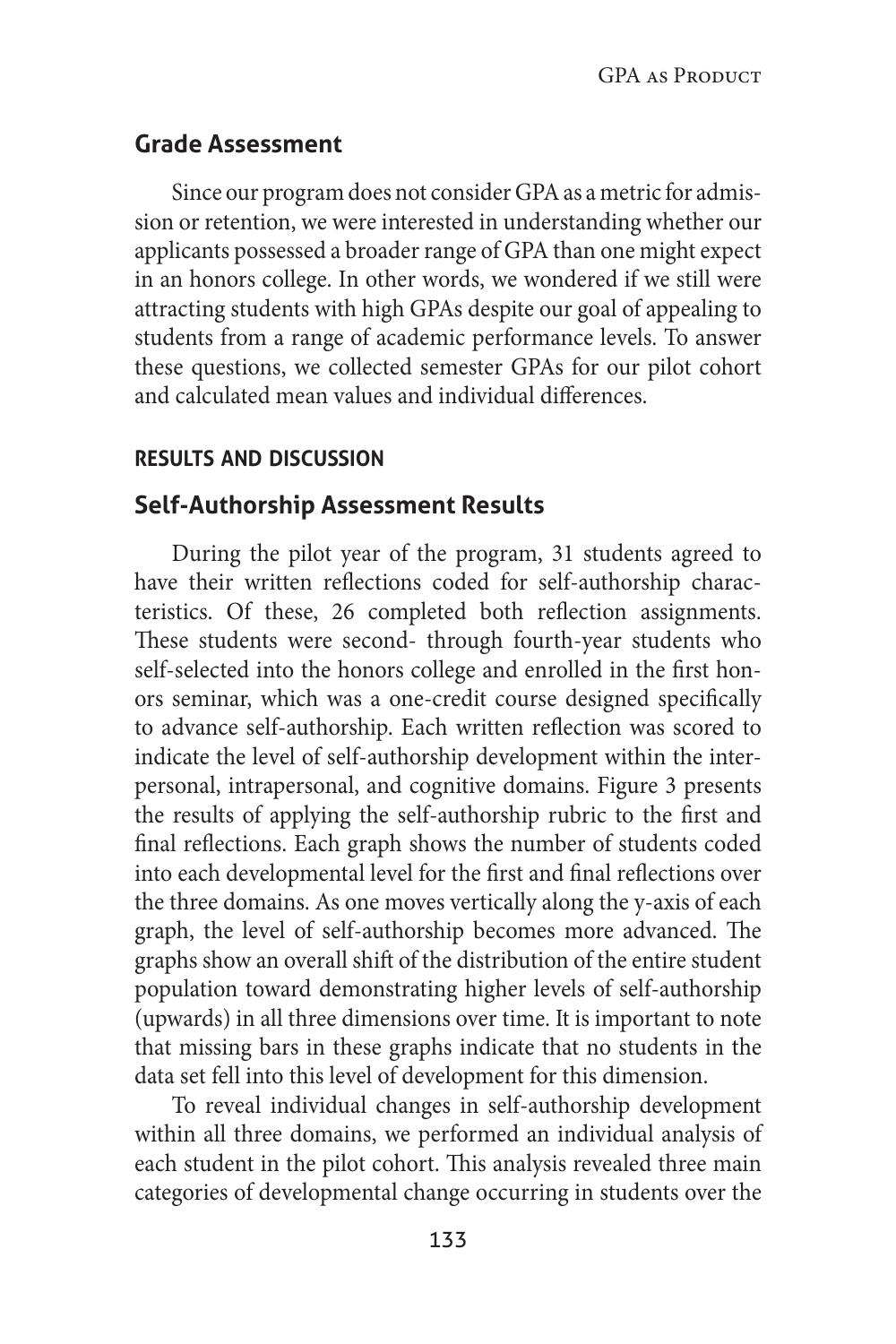# **Grade Assessment**

Since our program does not consider GPA as a metric for admission or retention, we were interested in understanding whether our applicants possessed a broader range of GPA than one might expect in an honors college. In other words, we wondered if we still were attracting students with high GPAs despite our goal of appealing to students from a range of academic performance levels. To answer these questions, we collected semester GPAs for our pilot cohort and calculated mean values and individual differences.

# **results and discussion**

# **Self-Authorship Assessment Results**

During the pilot year of the program, 31 students agreed to have their written reflections coded for self-authorship characteristics. Of these, 26 completed both reflection assignments. These students were second- through fourth-year students who self-selected into the honors college and enrolled in the first honors seminar, which was a one-credit course designed specifically to advance self-authorship. Each written reflection was scored to indicate the level of self-authorship development within the interpersonal, intrapersonal, and cognitive domains. Figure 3 presents the results of applying the self-authorship rubric to the first and final reflections. Each graph shows the number of students coded into each developmental level for the first and final reflections over the three domains. As one moves vertically along the y-axis of each graph, the level of self-authorship becomes more advanced. The graphs show an overall shift of the distribution of the entire student population toward demonstrating higher levels of self-authorship (upwards) in all three dimensions over time. It is important to note that missing bars in these graphs indicate that no students in the data set fell into this level of development for this dimension.

To reveal individual changes in self-authorship development within all three domains, we performed an individual analysis of each student in the pilot cohort. This analysis revealed three main categories of developmental change occurring in students over the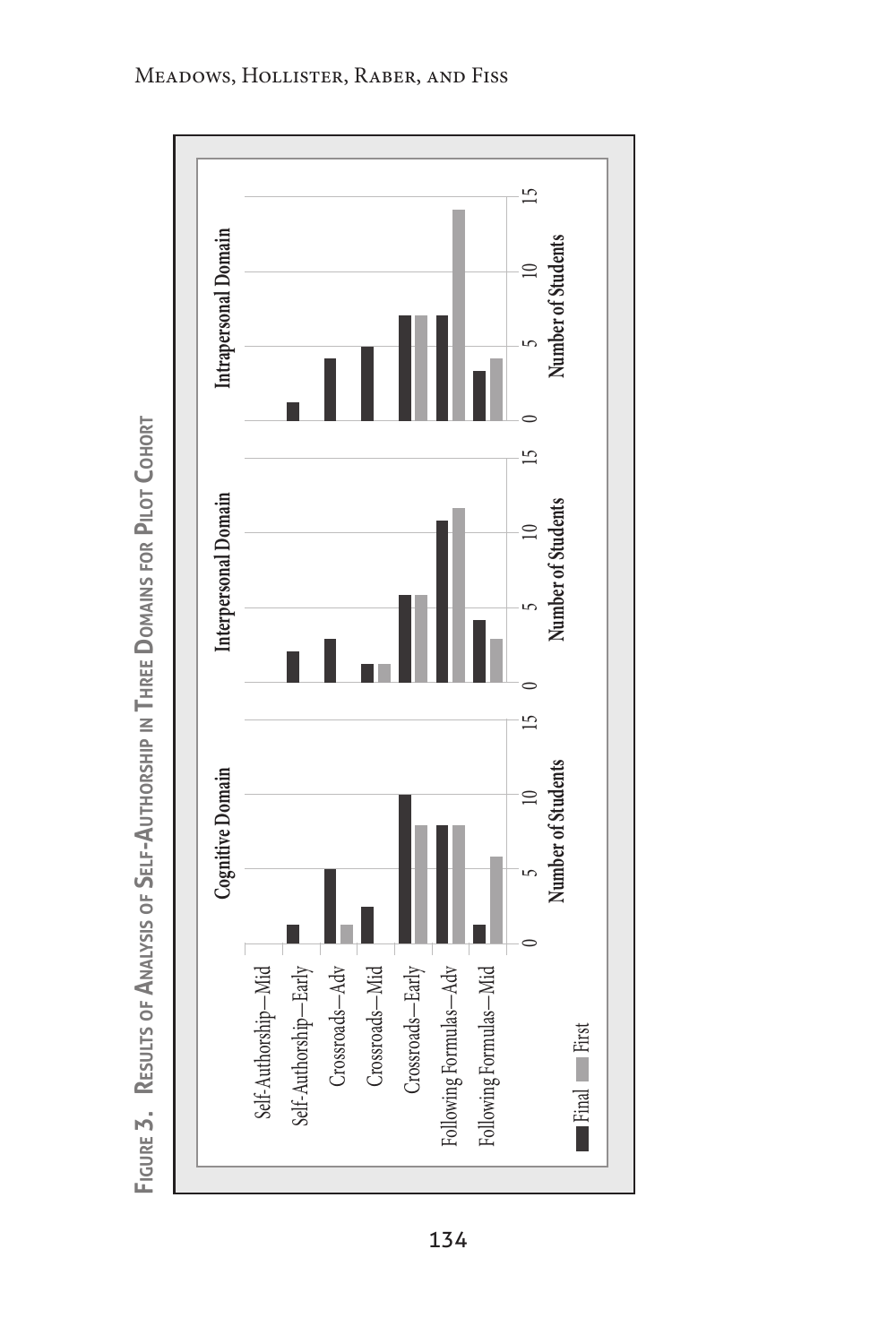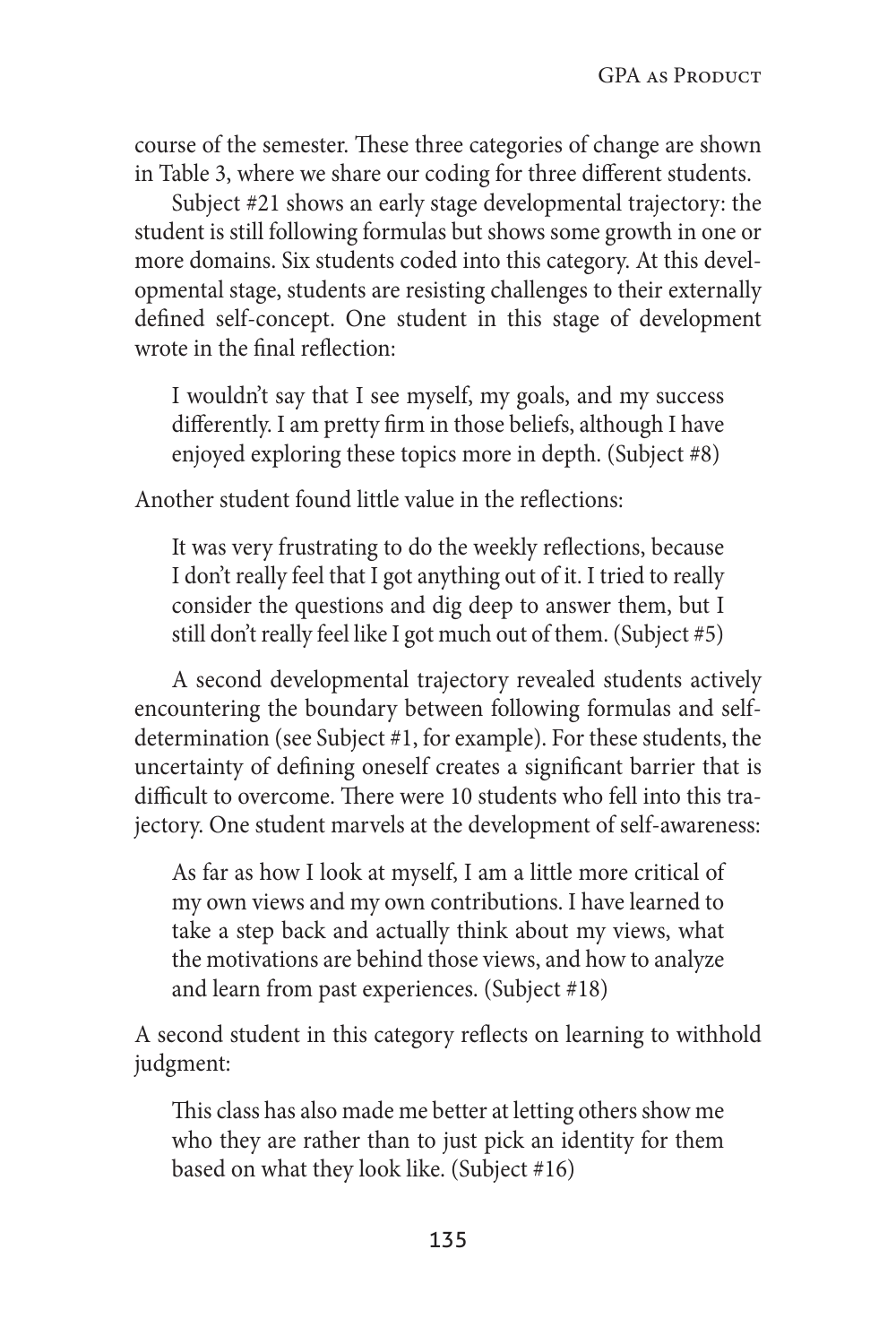course of the semester. These three categories of change are shown in Table 3, where we share our coding for three different students.

Subject #21 shows an early stage developmental trajectory: the student is still following formulas but shows some growth in one or more domains. Six students coded into this category. At this developmental stage, students are resisting challenges to their externally defined self-concept. One student in this stage of development wrote in the final reflection:

I wouldn't say that I see myself, my goals, and my success differently. I am pretty firm in those beliefs, although I have enjoyed exploring these topics more in depth. (Subject #8)

Another student found little value in the reflections:

It was very frustrating to do the weekly reflections, because I don't really feel that I got anything out of it. I tried to really consider the questions and dig deep to answer them, but I still don't really feel like I got much out of them. (Subject #5)

A second developmental trajectory revealed students actively encountering the boundary between following formulas and selfdetermination (see Subject #1, for example). For these students, the uncertainty of defining oneself creates a significant barrier that is difficult to overcome. There were 10 students who fell into this trajectory. One student marvels at the development of self-awareness:

As far as how I look at myself, I am a little more critical of my own views and my own contributions. I have learned to take a step back and actually think about my views, what the motivations are behind those views, and how to analyze and learn from past experiences. (Subject #18)

A second student in this category reflects on learning to withhold judgment:

This class has also made me better at letting others show me who they are rather than to just pick an identity for them based on what they look like. (Subject #16)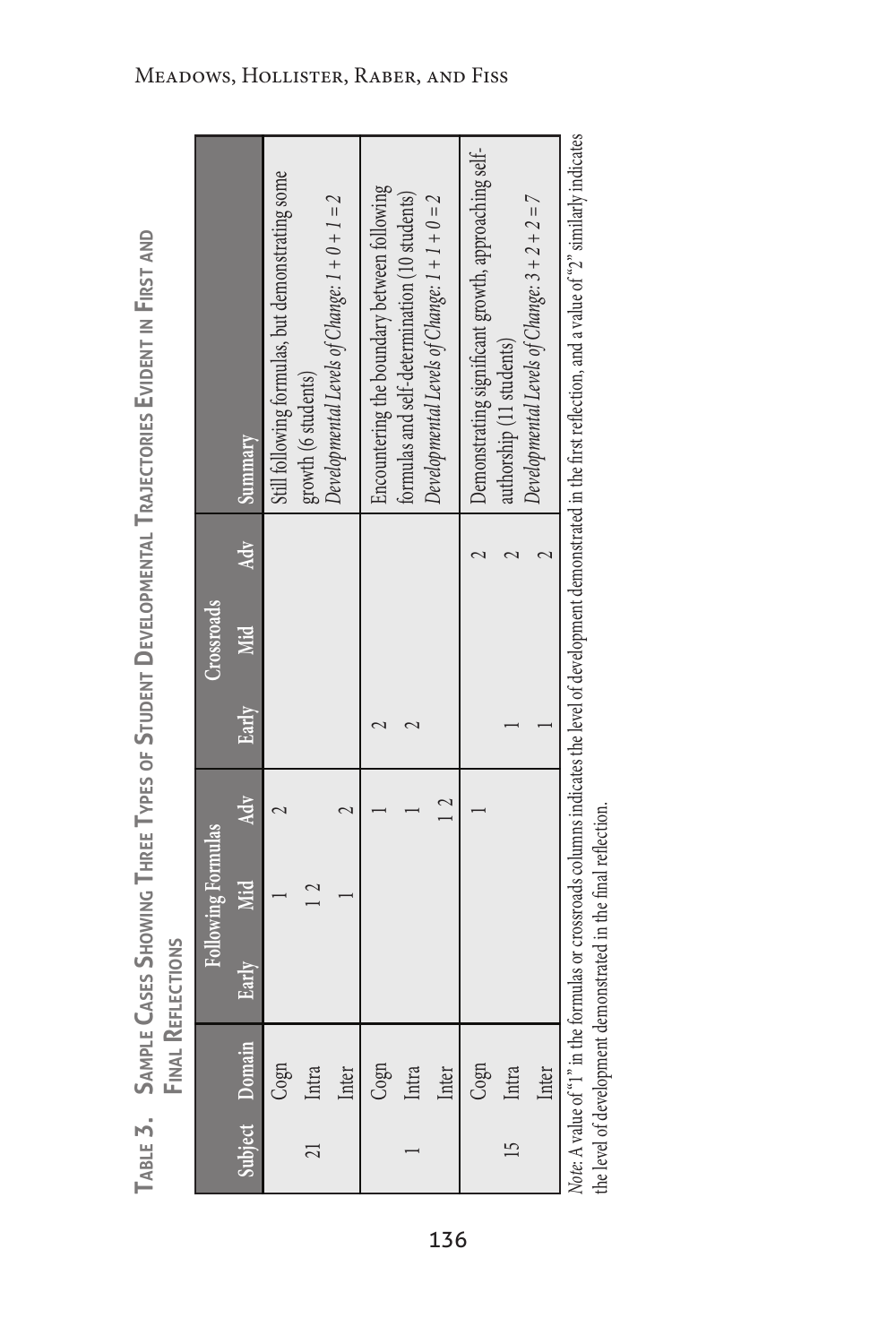| ,<br>₿                                                   |                  |
|----------------------------------------------------------|------------------|
| I<br>U<br>ć<br>J<br>J                                    |                  |
| $\equiv$                                                 |                  |
| ļ<br>ź<br>ı<br>ш<br>≏<br>u<br>щ                          |                  |
| S<br>TORIL<br>U<br>H<br>⊲<br>è<br>ŀ                      |                  |
|                                                          |                  |
| 질<br>Ξ<br>Ε<br>₹<br>ċ<br>¢<br>J<br>ï<br>ū<br>Ξ<br>Ć<br>ℶ |                  |
| <b>TINE</b>                                              |                  |
| Í<br>١<br>١<br>I<br>Ì,<br>î<br>١<br>I<br>J<br>ć<br>١     |                  |
| <b>VPFS</b><br>ï                                         |                  |
| ŀ                                                        |                  |
| HREE<br>ı                                                |                  |
| ں<br>MC<br>Í<br>t<br>I                                   | Ó                |
| í<br>t<br>ı                                              | i<br>į           |
| i<br>t<br>J<br>ţ                                         | ü<br>I<br>J<br>I |
| I<br>ı<br>پ                                              | I<br>d           |
| <b>AMPI</b>                                              | ₫                |
| Í<br>U                                                   | ź<br>ш           |
| m                                                        |                  |
| щ                                                        |                  |
| 긂<br>ť                                                   |                  |
| I                                                        |                  |

|    |                |       | Following Formulas |     |       | Crossroads |     |                                                                                                                                                                            |
|----|----------------|-------|--------------------|-----|-------|------------|-----|----------------------------------------------------------------------------------------------------------------------------------------------------------------------------|
|    | Subject Domain | Early | <b>Mid</b>         | Adv | Early | Mid        | Adv | Summary                                                                                                                                                                    |
|    | Cogn           |       |                    |     |       |            |     | Still following formulas, but demonstrating some                                                                                                                           |
| 21 | Intra          |       |                    |     |       |            |     | growth (6 students)                                                                                                                                                        |
|    | lnter          |       |                    |     |       |            |     | Developmental Levels of Change: $1 + 0 + 1 = 2$                                                                                                                            |
|    | cogn           |       |                    |     |       |            |     | Encountering the boundary between following                                                                                                                                |
|    | Intra          |       |                    |     |       |            |     | formulas and self-determination (10 students)                                                                                                                              |
|    | Inter          |       |                    |     |       |            |     | Developmental Levels of Change: $1 + 1 + 0 = 2$                                                                                                                            |
|    | Cogn           |       |                    |     |       |            |     | Demonstrating significant growth, approaching self-                                                                                                                        |
| 15 | Intra          |       |                    |     |       |            |     | authorship (11 students)                                                                                                                                                   |
|    | Inter          |       |                    |     |       |            |     | Developmental Levels of Change: $3 + 2 + 2 = 7$                                                                                                                            |
|    |                |       |                    |     |       |            |     | Note: A value of "1" in the formulas or crossroads columns indicates the level of development demonstrated in the first reflection, and a value of "2" similarly indicates |

the level of development demonstrated in the final reflection. the level of development demonstrated in the final reflection.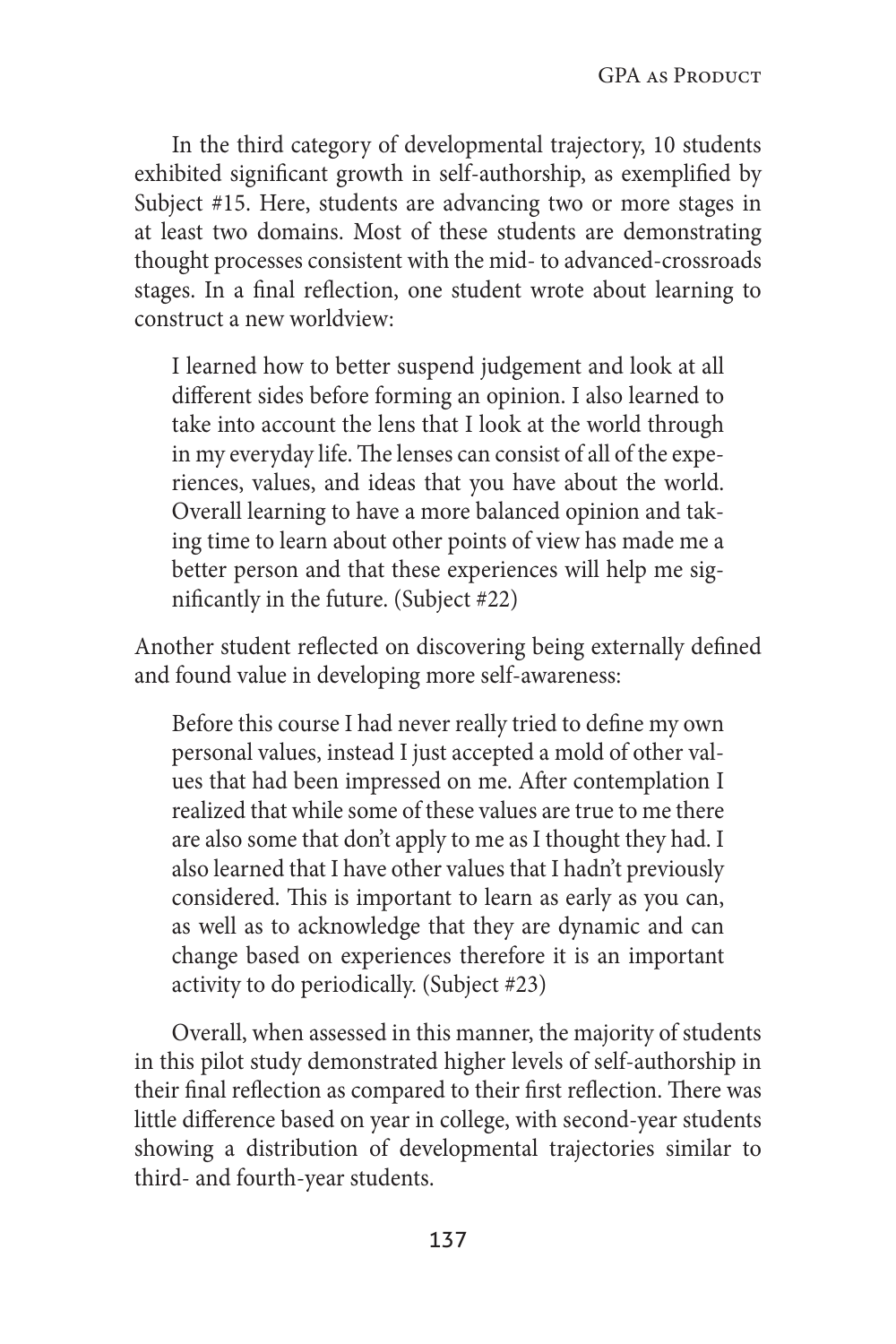In the third category of developmental trajectory, 10 students exhibited significant growth in self-authorship, as exemplified by Subject #15. Here, students are advancing two or more stages in at least two domains. Most of these students are demonstrating thought processes consistent with the mid- to advanced-crossroads stages. In a final reflection, one student wrote about learning to construct a new worldview:

I learned how to better suspend judgement and look at all different sides before forming an opinion. I also learned to take into account the lens that I look at the world through in my everyday life. The lenses can consist of all of the experiences, values, and ideas that you have about the world. Overall learning to have a more balanced opinion and taking time to learn about other points of view has made me a better person and that these experiences will help me significantly in the future. (Subject #22)

Another student reflected on discovering being externally defined and found value in developing more self-awareness:

Before this course I had never really tried to define my own personal values, instead I just accepted a mold of other values that had been impressed on me. After contemplation I realized that while some of these values are true to me there are also some that don't apply to me as I thought they had. I also learned that I have other values that I hadn't previously considered. This is important to learn as early as you can, as well as to acknowledge that they are dynamic and can change based on experiences therefore it is an important activity to do periodically. (Subject #23)

Overall, when assessed in this manner, the majority of students in this pilot study demonstrated higher levels of self-authorship in their final reflection as compared to their first reflection. There was little difference based on year in college, with second-year students showing a distribution of developmental trajectories similar to third- and fourth-year students.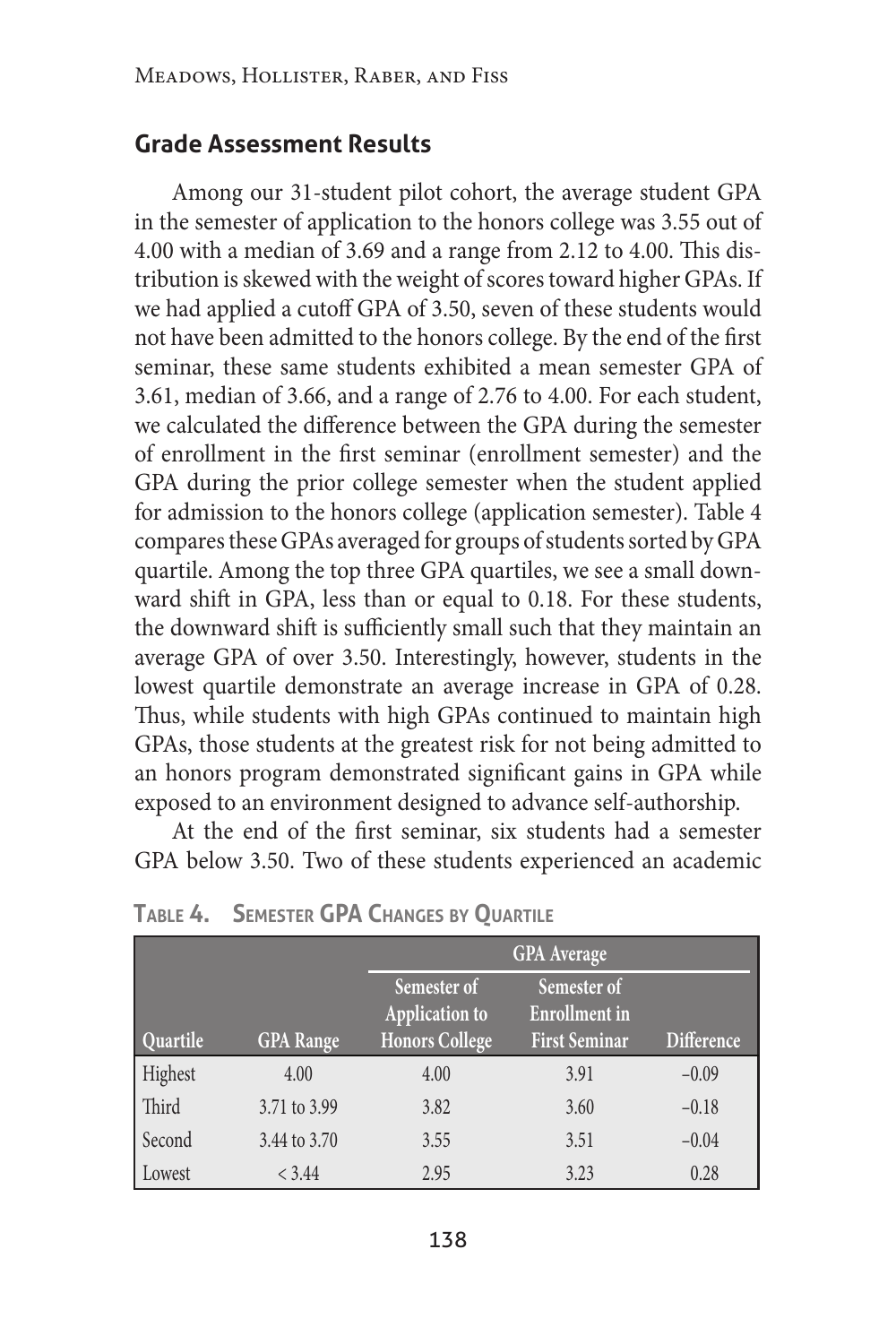#### **Grade Assessment Results**

Among our 31-student pilot cohort, the average student GPA in the semester of application to the honors college was 3.55 out of 4.00 with a median of 3.69 and a range from 2.12 to 4.00. This distribution is skewed with the weight of scores toward higher GPAs. If we had applied a cutoff GPA of 3.50, seven of these students would not have been admitted to the honors college. By the end of the first seminar, these same students exhibited a mean semester GPA of 3.61, median of 3.66, and a range of 2.76 to 4.00. For each student, we calculated the difference between the GPA during the semester of enrollment in the first seminar (enrollment semester) and the GPA during the prior college semester when the student applied for admission to the honors college (application semester). Table 4 compares these GPAs averaged for groups of students sorted by GPA quartile. Among the top three GPA quartiles, we see a small downward shift in GPA, less than or equal to 0.18. For these students, the downward shift is sufficiently small such that they maintain an average GPA of over 3.50. Interestingly, however, students in the lowest quartile demonstrate an average increase in GPA of 0.28. Thus, while students with high GPAs continued to maintain high GPAs, those students at the greatest risk for not being admitted to an honors program demonstrated significant gains in GPA while exposed to an environment designed to advance self-authorship.

At the end of the first seminar, six students had a semester GPA below 3.50. Two of these students experienced an academic

|          |                  |                                                               | <b>GPA</b> Average                                          |                   |
|----------|------------------|---------------------------------------------------------------|-------------------------------------------------------------|-------------------|
| Quartile | <b>GPA</b> Range | Semester of<br><b>Application to</b><br><b>Honors College</b> | Semester of<br><b>Enrollment</b> in<br><b>First Seminar</b> | <b>Difference</b> |
| Highest  | 4.00             | 4.00                                                          | 3.91                                                        | $-0.09$           |
| Third    | 3.71 to 3.99     | 3.82                                                          | 3.60                                                        | $-0.18$           |
| Second   | 3.44 to 3.70     | 3.55                                                          | 3.51                                                        | $-0.04$           |
| Lowest   | < 3.44           | 2.95                                                          | 3.23                                                        | 0.28              |

**Table 4. Semester GPA Changes by Quartile**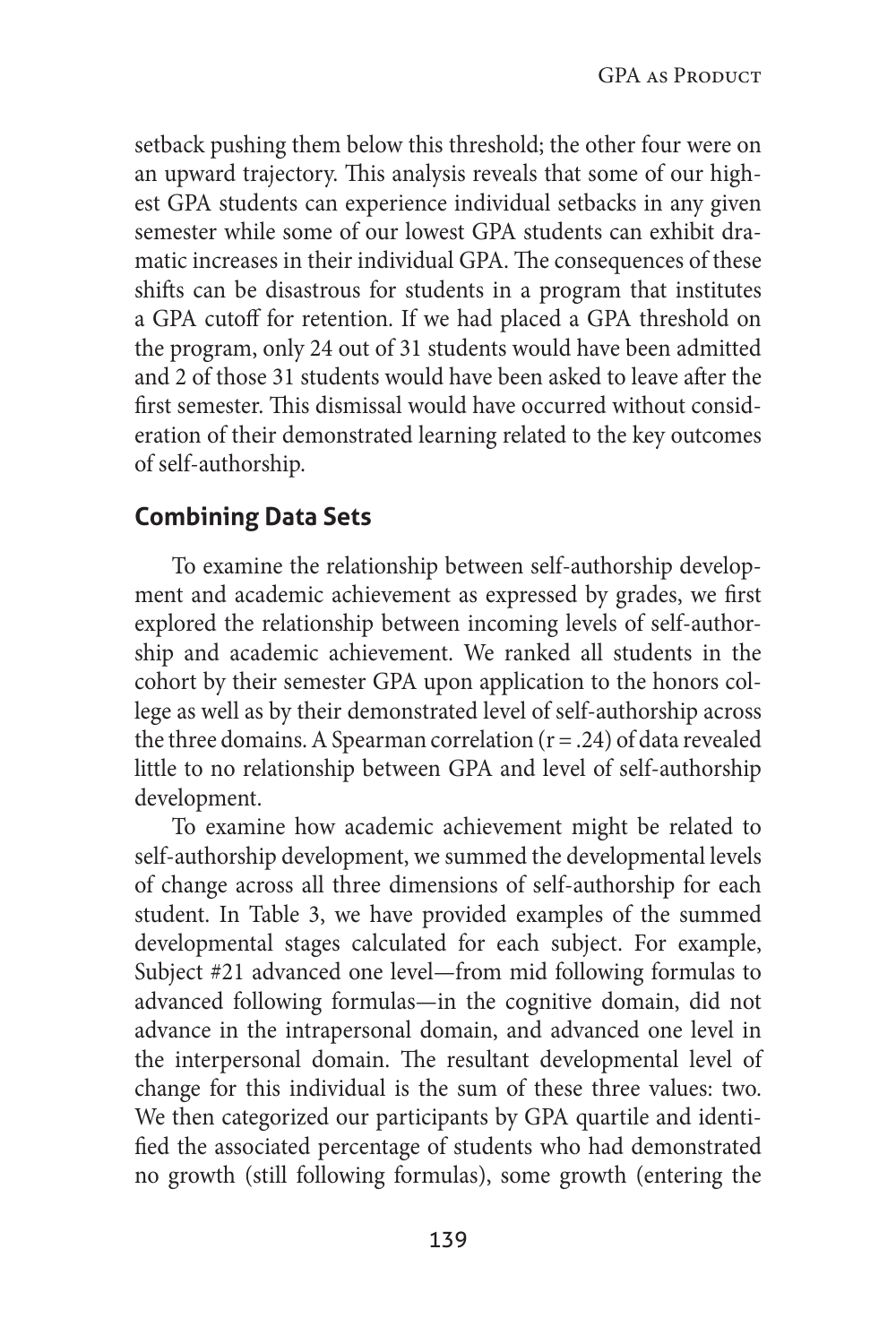setback pushing them below this threshold; the other four were on an upward trajectory. This analysis reveals that some of our highest GPA students can experience individual setbacks in any given semester while some of our lowest GPA students can exhibit dramatic increases in their individual GPA. The consequences of these shifts can be disastrous for students in a program that institutes a GPA cutoff for retention. If we had placed a GPA threshold on the program, only 24 out of 31 students would have been admitted and 2 of those 31 students would have been asked to leave after the first semester. This dismissal would have occurred without consideration of their demonstrated learning related to the key outcomes of self-authorship.

# **Combining Data Sets**

To examine the relationship between self-authorship development and academic achievement as expressed by grades, we first explored the relationship between incoming levels of self-authorship and academic achievement. We ranked all students in the cohort by their semester GPA upon application to the honors college as well as by their demonstrated level of self-authorship across the three domains. A Spearman correlation  $(r = .24)$  of data revealed little to no relationship between GPA and level of self-authorship development.

To examine how academic achievement might be related to self-authorship development, we summed the developmental levels of change across all three dimensions of self-authorship for each student. In Table 3, we have provided examples of the summed developmental stages calculated for each subject. For example, Subject #21 advanced one level—from mid following formulas to advanced following formulas—in the cognitive domain, did not advance in the intrapersonal domain, and advanced one level in the interpersonal domain. The resultant developmental level of change for this individual is the sum of these three values: two. We then categorized our participants by GPA quartile and identified the associated percentage of students who had demonstrated no growth (still following formulas), some growth (entering the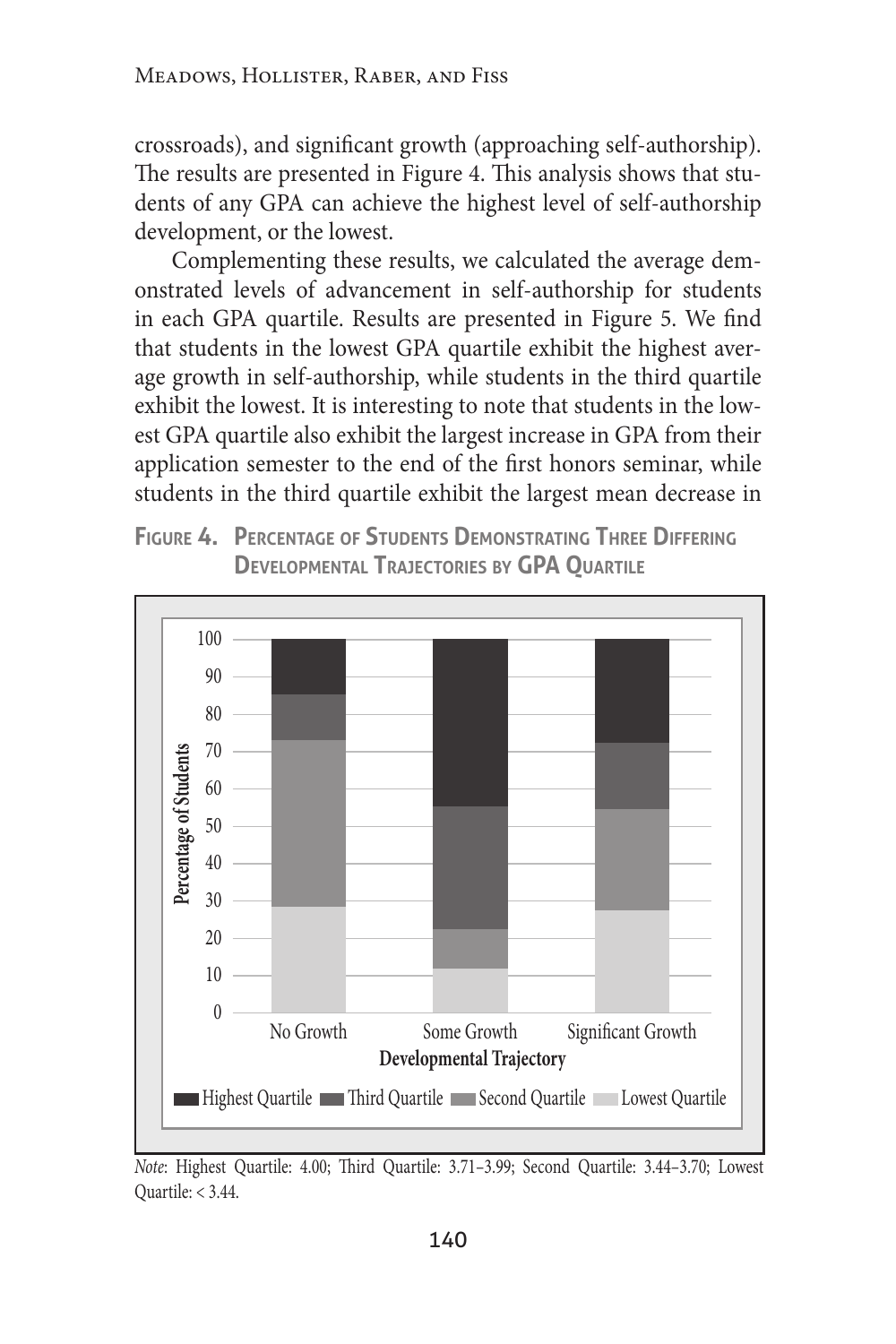crossroads), and significant growth (approaching self-authorship). The results are presented in Figure 4. This analysis shows that students of any GPA can achieve the highest level of self-authorship development, or the lowest.

Complementing these results, we calculated the average demonstrated levels of advancement in self-authorship for students in each GPA quartile. Results are presented in Figure 5. We find that students in the lowest GPA quartile exhibit the highest average growth in self-authorship, while students in the third quartile exhibit the lowest. It is interesting to note that students in the lowest GPA quartile also exhibit the largest increase in GPA from their application semester to the end of the first honors seminar, while students in the third quartile exhibit the largest mean decrease in





*Note*: Highest Quartile: 4.00; Third Quartile: 3.71–3.99; Second Quartile: 3.44–3.70; Lowest Quartile: < 3.44.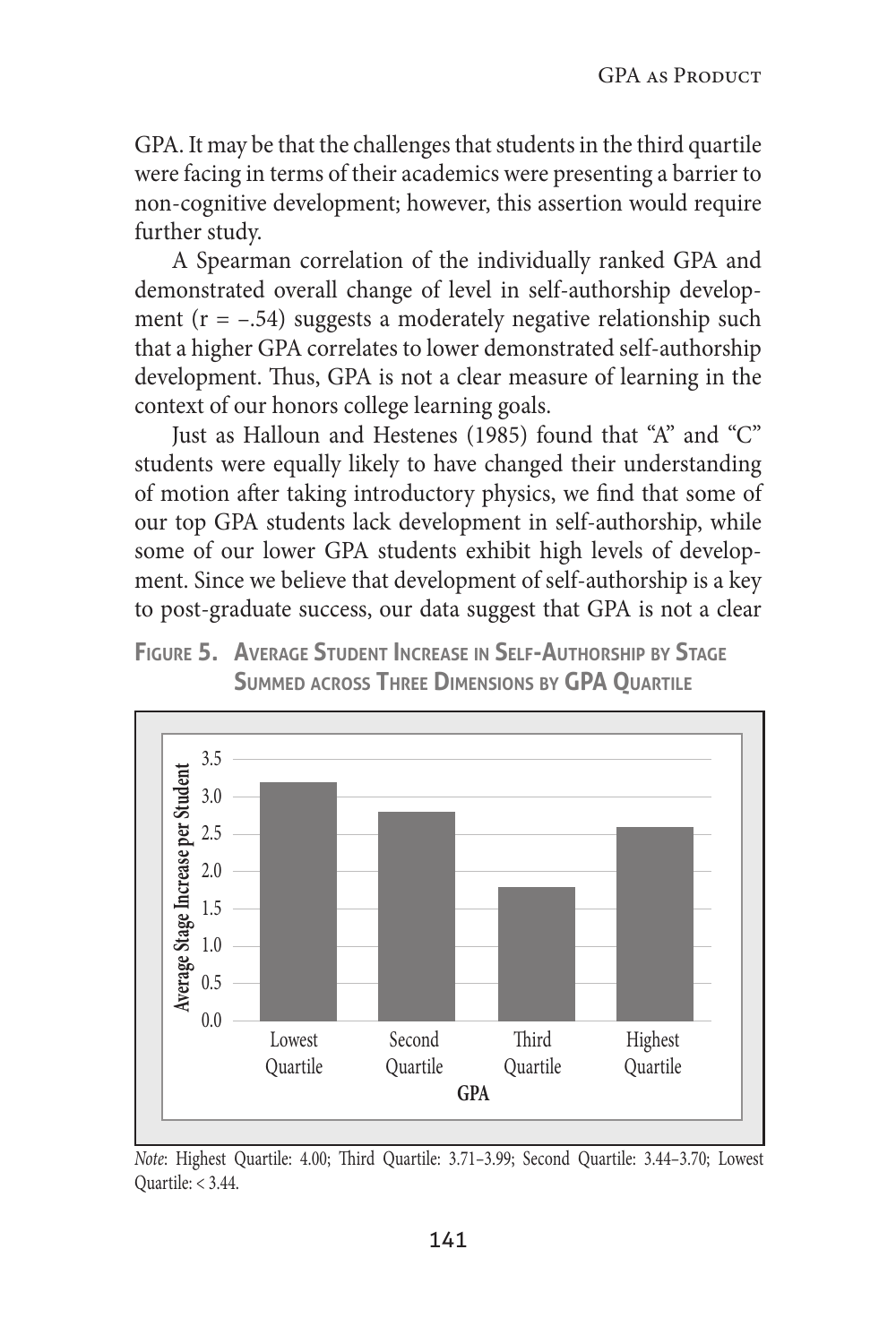GPA. It may be that the challenges that students in the third quartile were facing in terms of their academics were presenting a barrier to non-cognitive development; however, this assertion would require further study.

A Spearman correlation of the individually ranked GPA and demonstrated overall change of level in self-authorship development ( $r = -0.54$ ) suggests a moderately negative relationship such that a higher GPA correlates to lower demonstrated self-authorship development. Thus, GPA is not a clear measure of learning in the context of our honors college learning goals.

Just as Halloun and Hestenes (1985) found that "A" and "C" students were equally likely to have changed their understanding of motion after taking introductory physics, we find that some of our top GPA students lack development in self-authorship, while some of our lower GPA students exhibit high levels of development. Since we believe that development of self-authorship is a key to post-graduate success, our data suggest that GPA is not a clear





*Note*: Highest Quartile: 4.00; Third Quartile: 3.71–3.99; Second Quartile: 3.44–3.70; Lowest Quartile: < 3.44.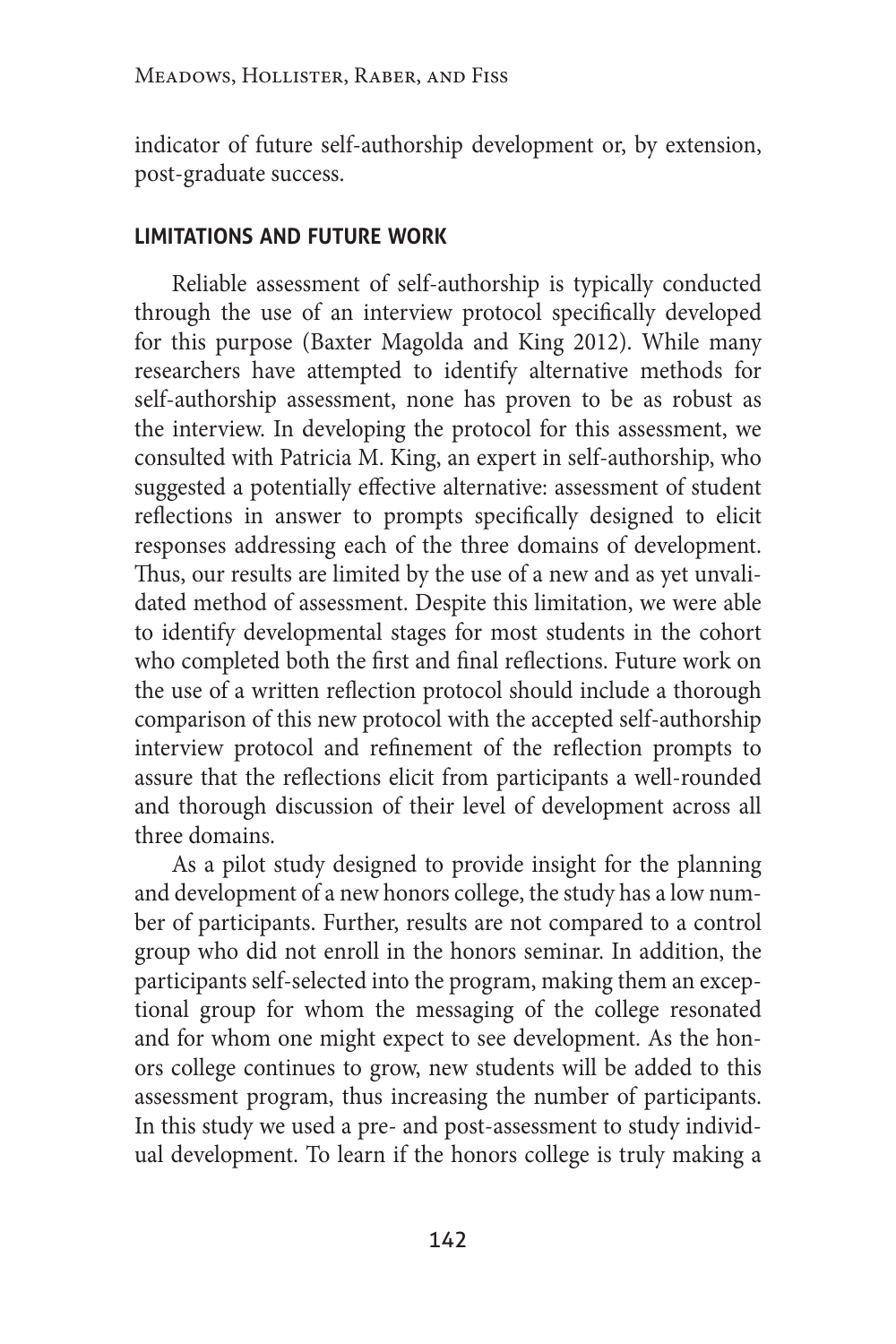indicator of future self-authorship development or, by extension, post-graduate success.

#### **limitations and future work**

Reliable assessment of self-authorship is typically conducted through the use of an interview protocol specifically developed for this purpose (Baxter Magolda and King 2012). While many researchers have attempted to identify alternative methods for self-authorship assessment, none has proven to be as robust as the interview. In developing the protocol for this assessment, we consulted with Patricia M. King, an expert in self-authorship, who suggested a potentially effective alternative: assessment of student reflections in answer to prompts specifically designed to elicit responses addressing each of the three domains of development. Thus, our results are limited by the use of a new and as yet unvalidated method of assessment. Despite this limitation, we were able to identify developmental stages for most students in the cohort who completed both the first and final reflections. Future work on the use of a written reflection protocol should include a thorough comparison of this new protocol with the accepted self-authorship interview protocol and refinement of the reflection prompts to assure that the reflections elicit from participants a well-rounded and thorough discussion of their level of development across all three domains.

As a pilot study designed to provide insight for the planning and development of a new honors college, the study has a low number of participants. Further, results are not compared to a control group who did not enroll in the honors seminar. In addition, the participants self-selected into the program, making them an exceptional group for whom the messaging of the college resonated and for whom one might expect to see development. As the honors college continues to grow, new students will be added to this assessment program, thus increasing the number of participants. In this study we used a pre- and post-assessment to study individual development. To learn if the honors college is truly making a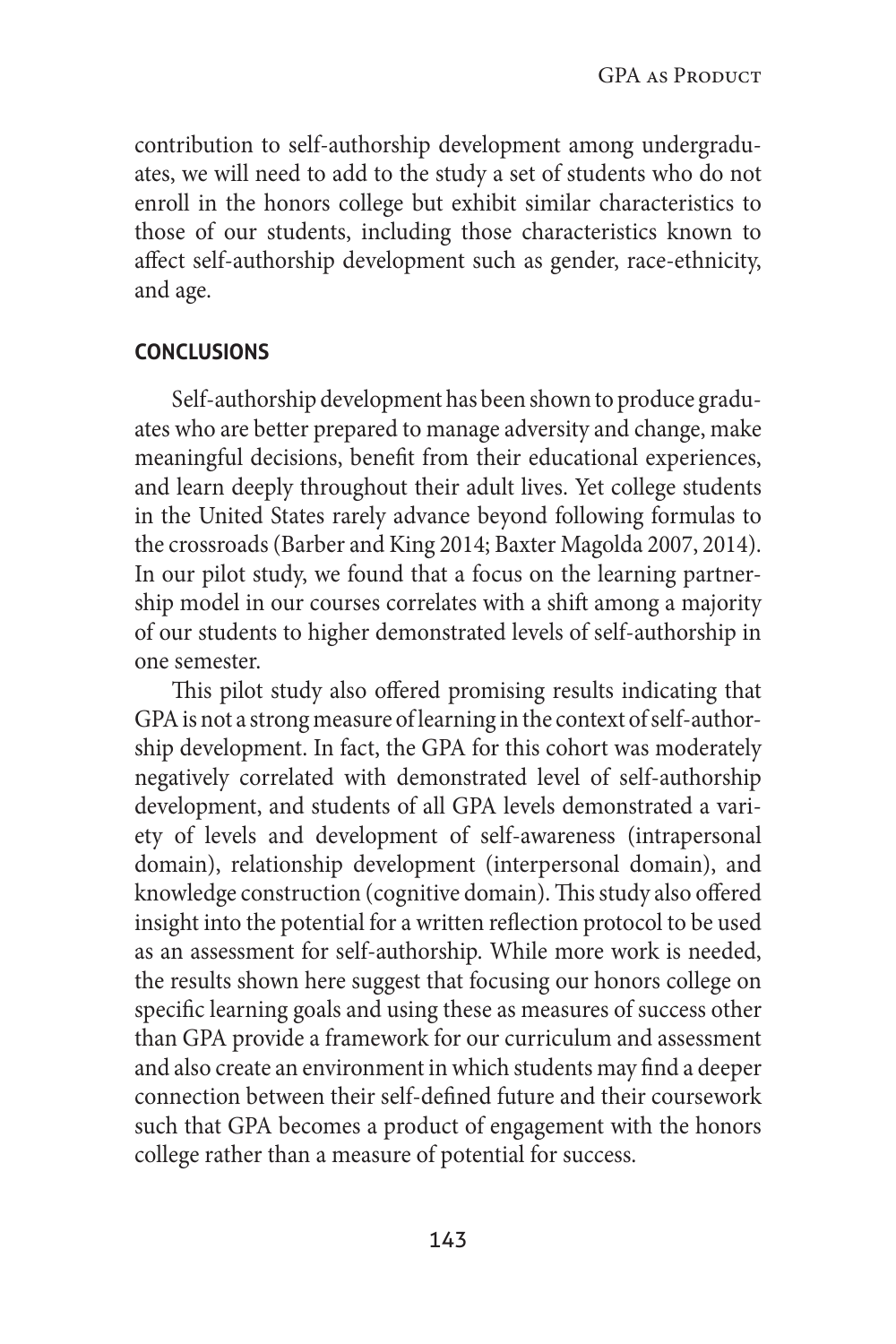contribution to self-authorship development among undergraduates, we will need to add to the study a set of students who do not enroll in the honors college but exhibit similar characteristics to those of our students, including those characteristics known to affect self-authorship development such as gender, race-ethnicity, and age.

#### **conclusions**

Self-authorship development has been shown to produce graduates who are better prepared to manage adversity and change, make meaningful decisions, benefit from their educational experiences, and learn deeply throughout their adult lives. Yet college students in the United States rarely advance beyond following formulas to the crossroads (Barber and King 2014; Baxter Magolda 2007, 2014). In our pilot study, we found that a focus on the learning partnership model in our courses correlates with a shift among a majority of our students to higher demonstrated levels of self-authorship in one semester.

This pilot study also offered promising results indicating that GPA is not a strong measure of learning in the context of self-authorship development. In fact, the GPA for this cohort was moderately negatively correlated with demonstrated level of self-authorship development, and students of all GPA levels demonstrated a variety of levels and development of self-awareness (intrapersonal domain), relationship development (interpersonal domain), and knowledge construction (cognitive domain). This study also offered insight into the potential for a written reflection protocol to be used as an assessment for self-authorship. While more work is needed, the results shown here suggest that focusing our honors college on specific learning goals and using these as measures of success other than GPA provide a framework for our curriculum and assessment and also create an environment in which students may find a deeper connection between their self-defined future and their coursework such that GPA becomes a product of engagement with the honors college rather than a measure of potential for success.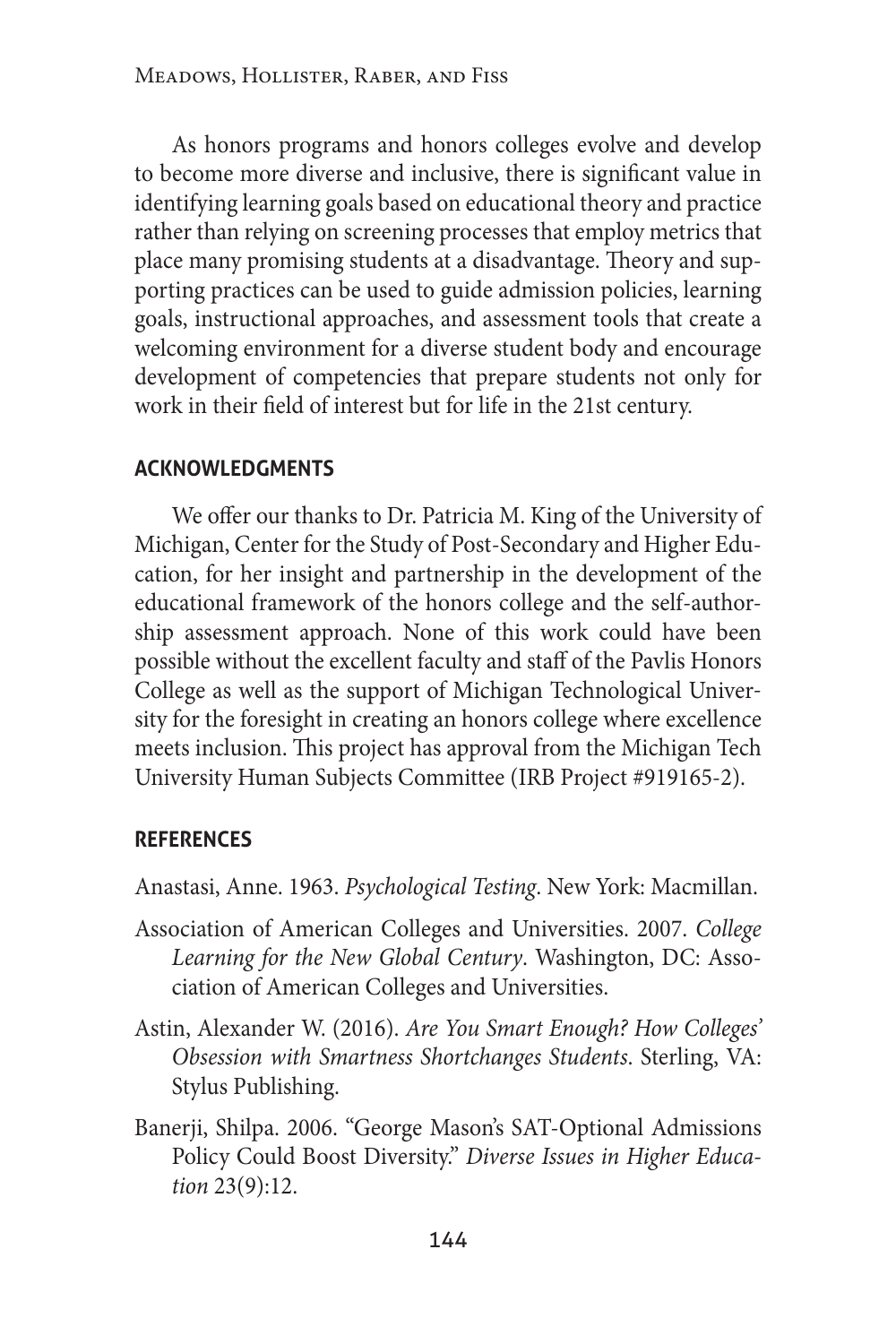As honors programs and honors colleges evolve and develop to become more diverse and inclusive, there is significant value in identifying learning goals based on educational theory and practice rather than relying on screening processes that employ metrics that place many promising students at a disadvantage. Theory and supporting practices can be used to guide admission policies, learning goals, instructional approaches, and assessment tools that create a welcoming environment for a diverse student body and encourage development of competencies that prepare students not only for work in their field of interest but for life in the 21st century.

# **acknowledgments**

We offer our thanks to Dr. Patricia M. King of the University of Michigan, Center for the Study of Post-Secondary and Higher Education, for her insight and partnership in the development of the educational framework of the honors college and the self-authorship assessment approach. None of this work could have been possible without the excellent faculty and staff of the Pavlis Honors College as well as the support of Michigan Technological University for the foresight in creating an honors college where excellence meets inclusion. This project has approval from the Michigan Tech University Human Subjects Committee (IRB Project #919165-2).

## **references**

Anastasi, Anne. 1963. *Psychological Testing*. New York: Macmillan.

- Association of American Colleges and Universities. 2007. *College Learning for the New Global Century*. Washington, DC: Association of American Colleges and Universities.
- Astin, Alexander W. (2016). *Are You Smart Enough? How Colleges' Obsession with Smartness Shortchanges Students*. Sterling, VA: Stylus Publishing.
- Banerji, Shilpa. 2006. "George Mason's SAT-Optional Admissions Policy Could Boost Diversity." *Diverse Issues in Higher Education* 23(9):12.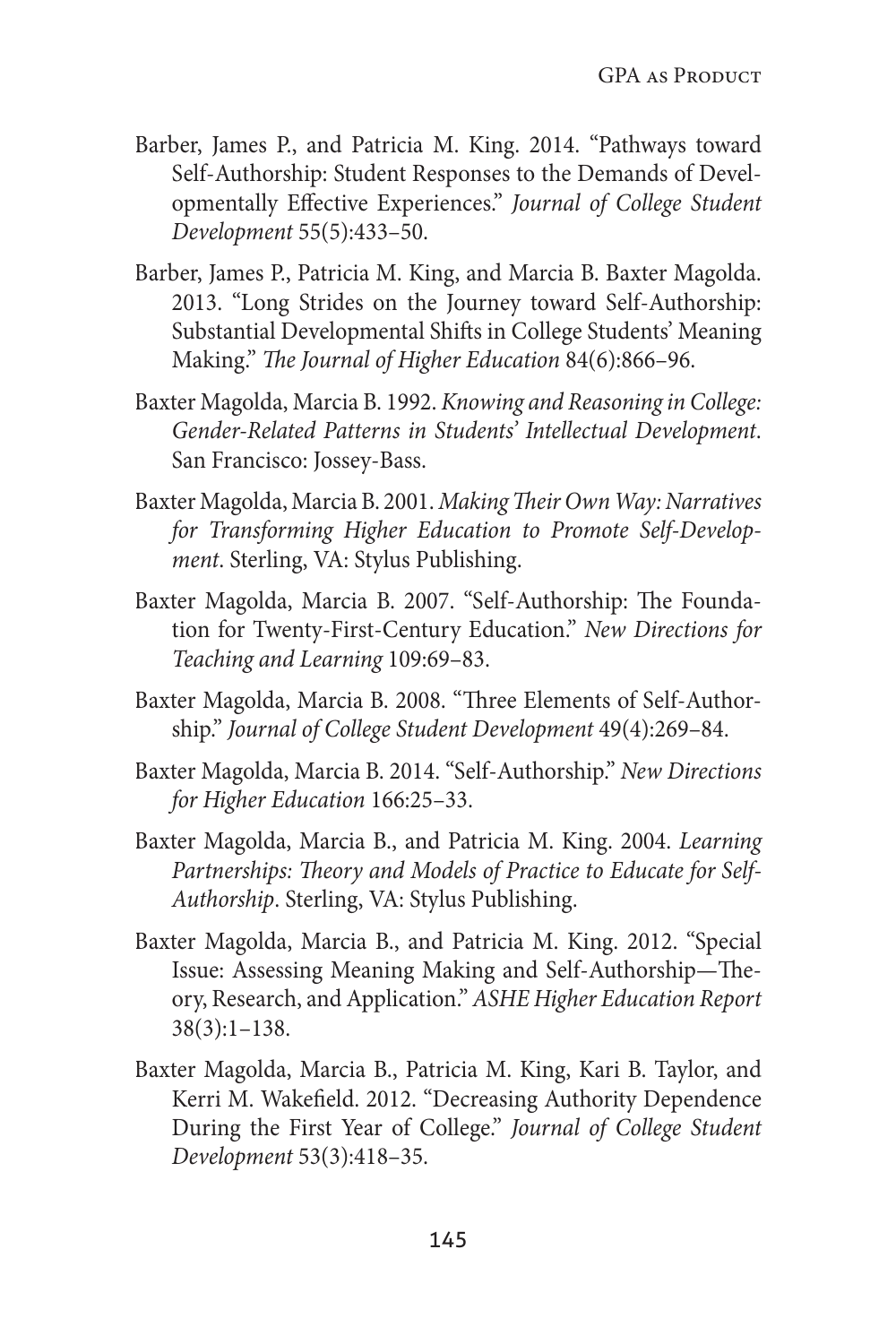- Barber, James P., and Patricia M. King. 2014. "Pathways toward Self-Authorship: Student Responses to the Demands of Developmentally Effective Experiences." *Journal of College Student Development* 55(5):433–50.
- Barber, James P., Patricia M. King, and Marcia B. Baxter Magolda. 2013. "Long Strides on the Journey toward Self-Authorship: Substantial Developmental Shifts in College Students' Meaning Making." *The Journal of Higher Education* 84(6):866–96.
- Baxter Magolda, Marcia B. 1992. *Knowing and Reasoning in College: Gender-Related Patterns in Students' Intellectual Development*. San Francisco: Jossey-Bass.
- Baxter Magolda, Marcia B. 2001. *Making Their Own Way: Narratives for Transforming Higher Education to Promote Self-Development*. Sterling, VA: Stylus Publishing.
- Baxter Magolda, Marcia B. 2007. "Self-Authorship: The Foundation for Twenty‐First‐Century Education." *New Directions for Teaching and Learning* 109:69–83.
- Baxter Magolda, Marcia B. 2008. "Three Elements of Self-Authorship." *Journal of College Student Development* 49(4):269–84.
- Baxter Magolda, Marcia B. 2014. "Self-Authorship." *New Directions for Higher Education* 166:25–33.
- Baxter Magolda, Marcia B., and Patricia M. King. 2004. *Learning Partnerships: Theory and Models of Practice to Educate for Self-Authorship*. Sterling, VA: Stylus Publishing.
- Baxter Magolda, Marcia B., and Patricia M. King. 2012. "Special Issue: Assessing Meaning Making and Self-Authorship—Theory, Research, and Application." *ASHE Higher Education Report* 38(3):1–138.
- Baxter Magolda, Marcia B., Patricia M. King, Kari B. Taylor, and Kerri M. Wakefield. 2012. "Decreasing Authority Dependence During the First Year of College." *Journal of College Student Development* 53(3):418–35.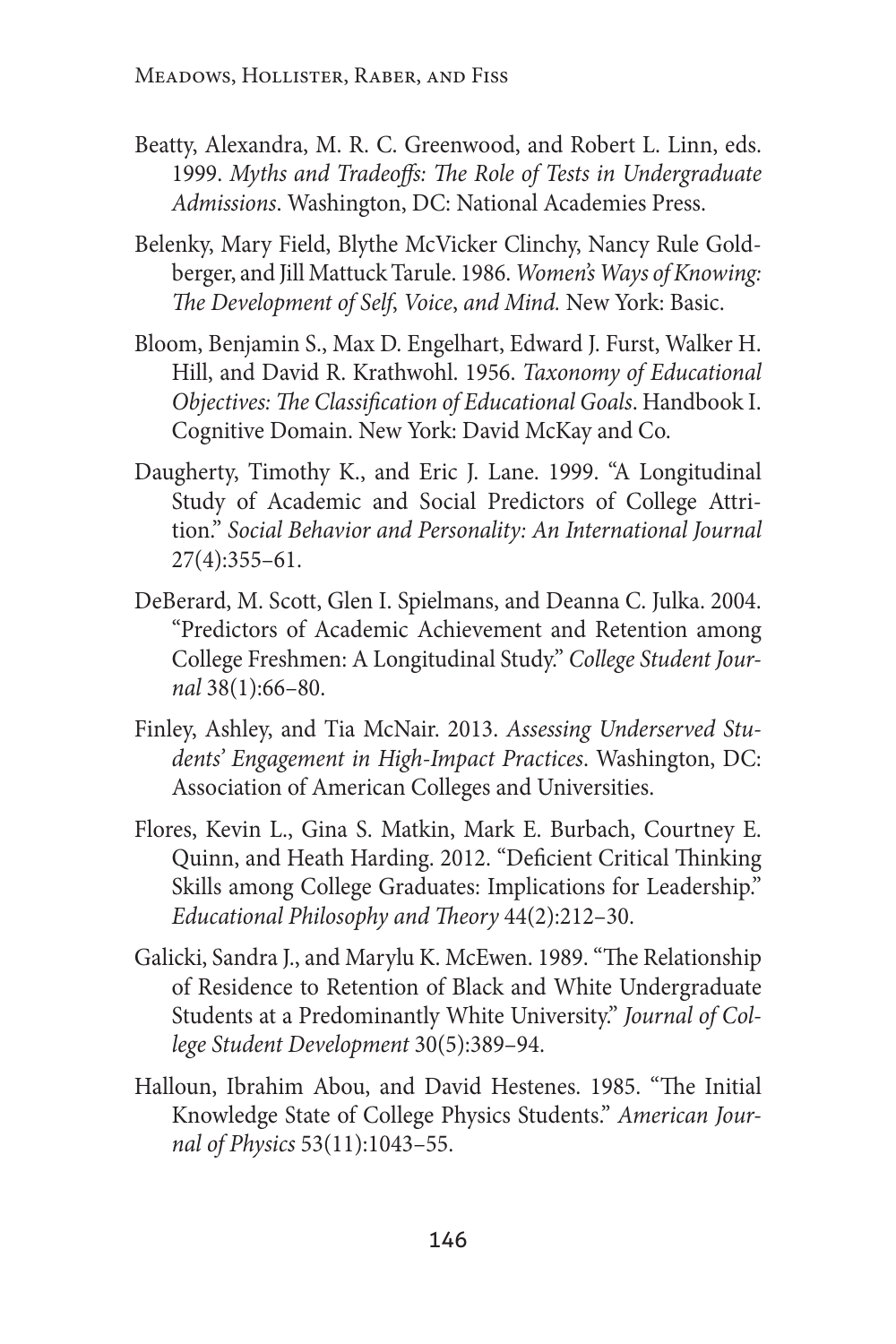- Beatty, Alexandra, M. R. C. Greenwood, and Robert L. Linn, eds. 1999. *Myths and Tradeoffs: The Role of Tests in Undergraduate Admissions*. Washington, DC: National Academies Press.
- Belenky, Mary Field, Blythe McVicker Clinchy, Nancy Rule Goldberger, and Jill Mattuck Tarule. 1986. *Women's Ways of Knowing: The Development of Self*, *Voice*, *and Mind.* New York: Basic.
- Bloom, Benjamin S., Max D. Engelhart, Edward J. Furst, Walker H. Hill, and David R. Krathwohl. 1956. *Taxonomy of Educational Objectives: The Classification of Educational Goals*. Handbook I. Cognitive Domain. New York: David McKay and Co.
- Daugherty, Timothy K., and Eric J. Lane. 1999. "A Longitudinal Study of Academic and Social Predictors of College Attrition." *Social Behavior and Personality: An International Journal* 27(4):355–61.
- DeBerard, M. Scott, Glen I. Spielmans, and Deanna C. Julka. 2004. "Predictors of Academic Achievement and Retention among College Freshmen: A Longitudinal Study." *College Student Journal* 38(1):66–80.
- Finley, Ashley, and Tia McNair. 2013. *Assessing Underserved Students' Engagement in High-Impact Practices*. Washington, DC: Association of American Colleges and Universities.
- Flores, Kevin L., Gina S. Matkin, Mark E. Burbach, Courtney E. Quinn, and Heath Harding. 2012. "Deficient Critical Thinking Skills among College Graduates: Implications for Leadership." *Educational Philosophy and Theory* 44(2):212–30.
- Galicki, Sandra J., and Marylu K. McEwen. 1989. "The Relationship of Residence to Retention of Black and White Undergraduate Students at a Predominantly White University." *Journal of College Student Development* 30(5):389–94.
- Halloun, Ibrahim Abou, and David Hestenes. 1985. "The Initial Knowledge State of College Physics Students." *American Journal of Physics* 53(11):1043–55.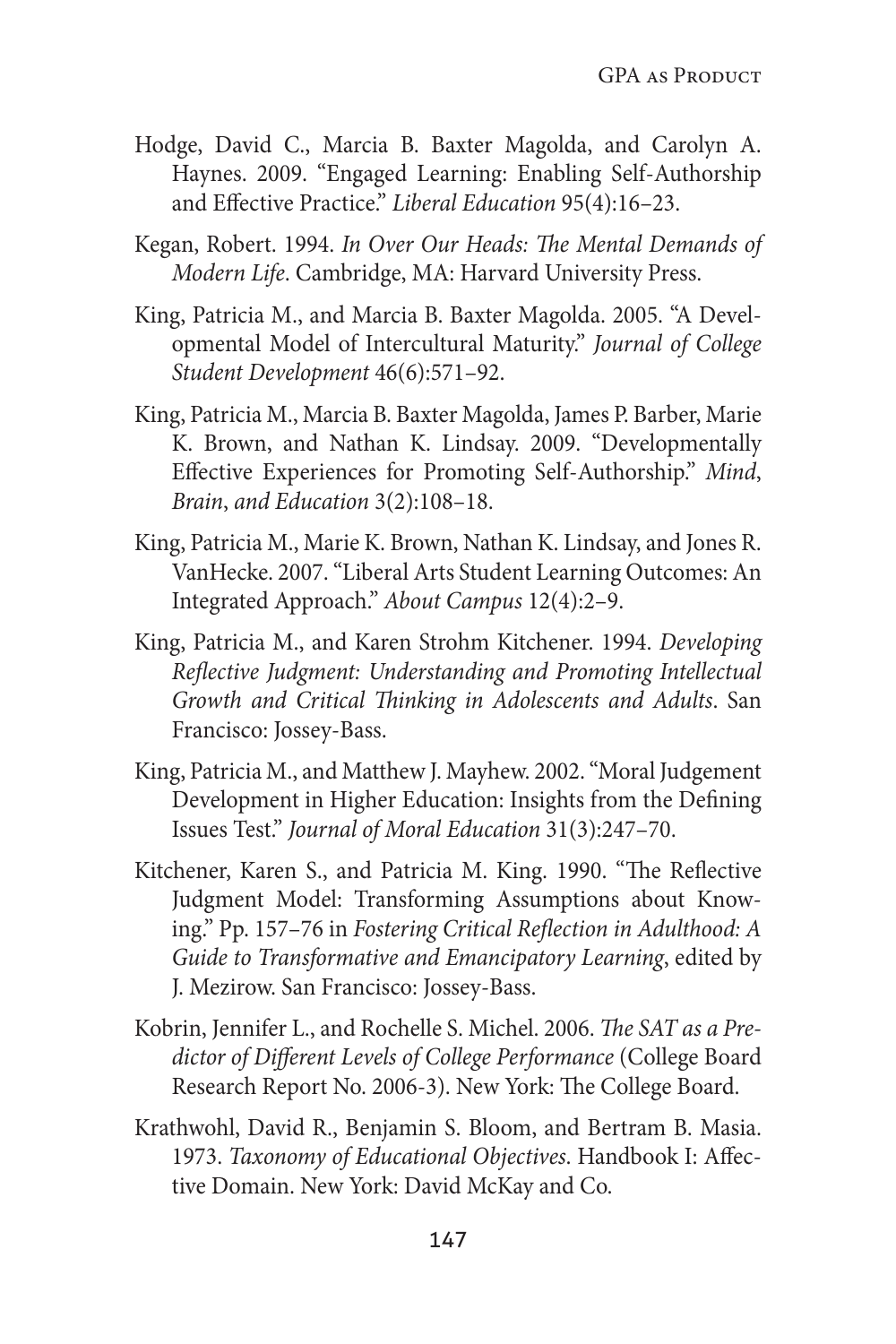- Hodge, David C., Marcia B. Baxter Magolda, and Carolyn A. Haynes. 2009. "Engaged Learning: Enabling Self-Authorship and Effective Practice." *Liberal Education* 95(4):16–23.
- Kegan, Robert. 1994. *In Over Our Heads: The Mental Demands of Modern Life*. Cambridge, MA: Harvard University Press.
- King, Patricia M., and Marcia B. Baxter Magolda. 2005. "A Developmental Model of Intercultural Maturity." *Journal of College Student Development* 46(6):571–92.
- King, Patricia M., Marcia B. Baxter Magolda, James P. Barber, Marie K. Brown, and Nathan K. Lindsay. 2009. "Developmentally Effective Experiences for Promoting Self-Authorship." *Mind*, *Brain*, *and Education* 3(2):108–18.
- King, Patricia M., Marie K. Brown, Nathan K. Lindsay, and Jones R. VanHecke. 2007. "Liberal Arts Student Learning Outcomes: An Integrated Approach." *About Campus* 12(4):2–9.
- King, Patricia M., and Karen Strohm Kitchener. 1994. *Developing Reflective Judgment: Understanding and Promoting Intellectual Growth and Critical Thinking in Adolescents and Adults*. San Francisco: Jossey-Bass.
- King, Patricia M., and Matthew J. Mayhew. 2002. "Moral Judgement Development in Higher Education: Insights from the Defining Issues Test." *Journal of Moral Education* 31(3):247–70.
- Kitchener, Karen S., and Patricia M. King. 1990. "The Reflective Judgment Model: Transforming Assumptions about Knowing." Pp. 157–76 in *Fostering Critical Reflection in Adulthood: A Guide to Transformative and Emancipatory Learning*, edited by J. Mezirow. San Francisco: Jossey-Bass.
- Kobrin, Jennifer L., and Rochelle S. Michel. 2006. *The SAT as a Predictor of Different Levels of College Performance* (College Board Research Report No. 2006-3). New York: The College Board.
- Krathwohl, David R., Benjamin S. Bloom, and Bertram B. Masia. 1973. *Taxonomy of Educational Objectives*. Handbook I: Affective Domain. New York: David McKay and Co.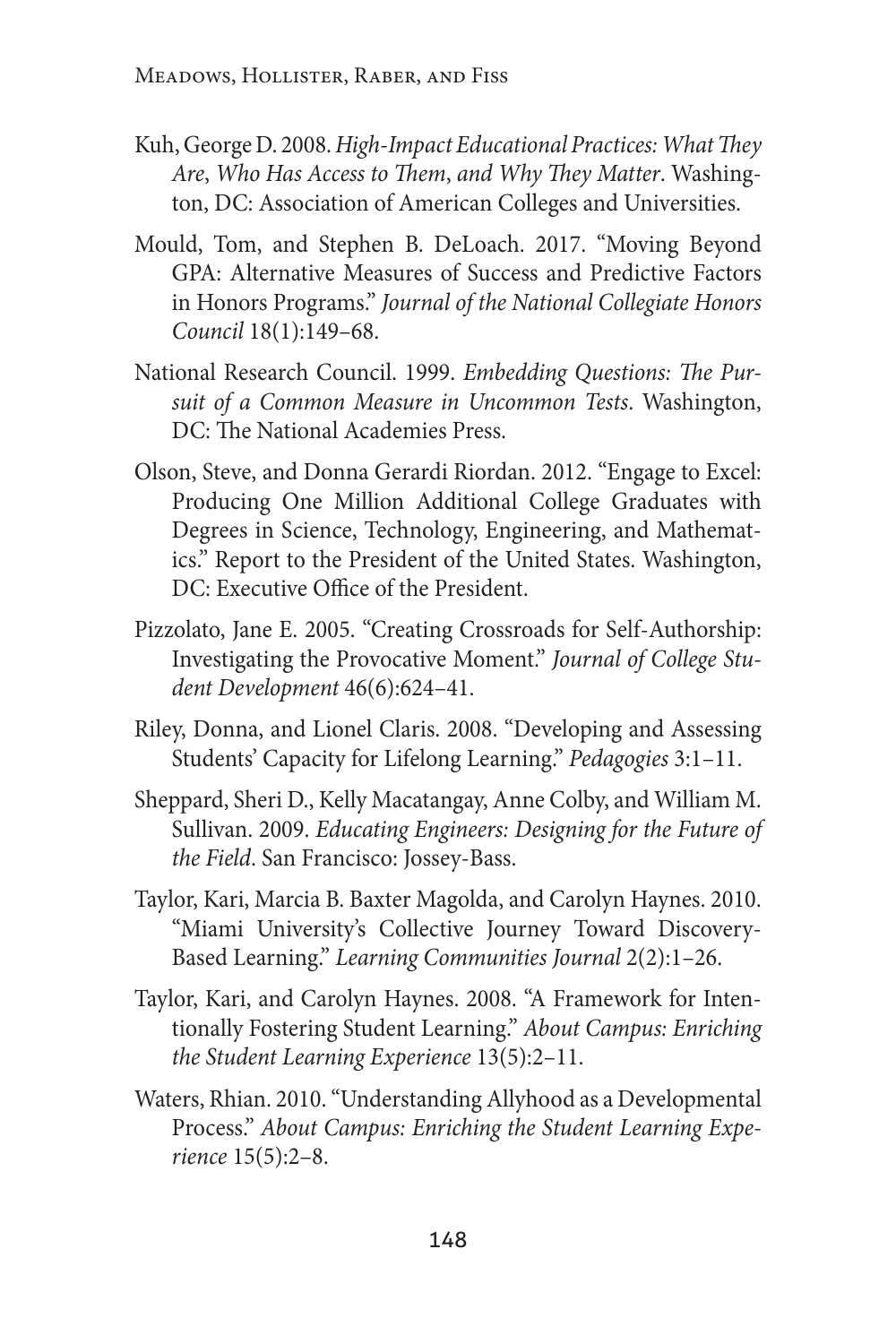- Kuh, George D. 2008. *High-Impact Educational Practices: What They Are*, *Who Has Access to Them*, *and Why They Matter*. Washington, DC: Association of American Colleges and Universities.
- Mould, Tom, and Stephen B. DeLoach. 2017. "Moving Beyond GPA: Alternative Measures of Success and Predictive Factors in Honors Programs." *Journal of the National Collegiate Honors Council* 18(1):149–68.
- National Research Council. 1999. *Embedding Questions: The Pursuit of a Common Measure in Uncommon Tests*. Washington, DC: The National Academies Press.
- Olson, Steve, and Donna Gerardi Riordan. 2012. "Engage to Excel: Producing One Million Additional College Graduates with Degrees in Science, Technology, Engineering, and Mathematics." Report to the President of the United States. Washington, DC: Executive Office of the President.
- Pizzolato, Jane E. 2005. "Creating Crossroads for Self-Authorship: Investigating the Provocative Moment." *Journal of College Student Development* 46(6):624–41.
- Riley, Donna, and Lionel Claris. 2008. "Developing and Assessing Students' Capacity for Lifelong Learning." *Pedagogies* 3:1–11.
- Sheppard, Sheri D., Kelly Macatangay, Anne Colby, and William M. Sullivan. 2009. *Educating Engineers: Designing for the Future of the Field*. San Francisco: Jossey-Bass.
- Taylor, Kari, Marcia B. Baxter Magolda, and Carolyn Haynes. 2010. "Miami University's Collective Journey Toward Discovery-Based Learning." *Learning Communities Journal* 2(2):1–26.
- Taylor, Kari, and Carolyn Haynes. 2008. "A Framework for Intentionally Fostering Student Learning." *About Campus: Enriching the Student Learning Experience* 13(5):2–11.
- Waters, Rhian. 2010. "Understanding Allyhood as a Developmental Process." *About Campus: Enriching the Student Learning Experience* 15(5):2–8.